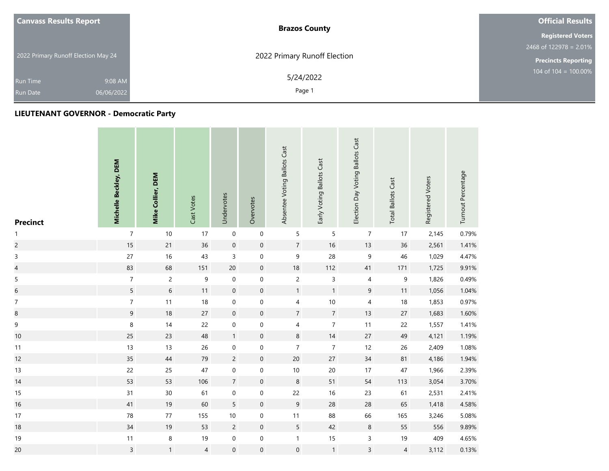| <b>Canvass Results Report</b>       | <b>Brazos County</b>         | <b>Official Results</b>    |
|-------------------------------------|------------------------------|----------------------------|
|                                     |                              | <b>Registered Voters</b>   |
|                                     |                              | 2468 of 122978 = 2.01%     |
| 2022 Primary Runoff Election May 24 | 2022 Primary Runoff Election | <b>Precincts Reporting</b> |
| 9:08 AM<br>Run Time                 | 5/24/2022                    | 104 of $104 = 100.00\%$    |
| 06/06/2022<br><b>Run Date</b>       | Page 1                       |                            |

| <b>Precinct</b>          | Michelle Beckley, DEM | Mike Collier, DEM | Cast Votes     | Undervotes          | Overvotes           | Absentee Voting Ballots Cast | Early Voting Ballots Cast | Election Day Voting Ballots Cast | <b>Total Ballots Cast</b> | Registered Voters | Turnout Percentage |
|--------------------------|-----------------------|-------------------|----------------|---------------------|---------------------|------------------------------|---------------------------|----------------------------------|---------------------------|-------------------|--------------------|
| $\mathbf{1}$             | $\overline{7}$        | $10\,$            | 17             | $\boldsymbol{0}$    | $\mathbf 0$         | 5                            | 5                         | $\boldsymbol{7}$                 | 17                        | 2,145             | 0.79%              |
| $\overline{c}$           | 15                    | 21                | 36             | $\mathbf 0$         | $\boldsymbol{0}$    | $\overline{7}$               | 16                        | 13                               | 36                        | 2,561             | 1.41%              |
| $\mathsf 3$              | $27\,$                | $16\,$            | 43             | $\mathsf{3}$        | $\pmb{0}$           | 9                            | 28                        | $\boldsymbol{9}$                 | 46                        | 1,029             | 4.47%              |
| $\overline{\mathcal{L}}$ | 83                    | 68                | 151            | $20\,$              | $\mathbf 0$         | $18\,$                       | 112                       | 41                               | 171                       | 1,725             | 9.91%              |
| $\mathsf S$              | $\overline{7}$        | $\overline{c}$    | 9              | $\,0\,$             | $\boldsymbol{0}$    | $\overline{c}$               | 3                         | 4                                | 9                         | 1,826             | 0.49%              |
| $\overline{6}$           | 5                     | $\sqrt{6}$        | 11             | $\mathsf{O}\xspace$ | $\mathsf{O}\xspace$ | $\mathbf{1}$                 | $\mathbf{1}$              | $9\,$                            | 11                        | 1,056             | 1.04%              |
| $\boldsymbol{7}$         | $\boldsymbol{7}$      | 11                | 18             | $\pmb{0}$           | 0                   | $\overline{4}$               | $10\,$                    | $\overline{\mathbf{4}}$          | 18                        | 1,853             | 0.97%              |
| $\bf8$                   | $\overline{9}$        | 18                | 27             | $\mathbf 0$         | $\boldsymbol{0}$    | $\overline{7}$               | $\overline{7}$            | 13                               | 27                        | 1,683             | 1.60%              |
| 9                        | 8                     | 14                | 22             | $\pmb{0}$           | $\boldsymbol{0}$    | 4                            | $\overline{7}$            | 11                               | 22                        | 1,557             | 1.41%              |
| 10                       | 25                    | 23                | 48             | $\mathbf{1}$        | $\boldsymbol{0}$    | $\,$ 8 $\,$                  | 14                        | 27                               | 49                        | 4,121             | 1.19%              |
| 11                       | 13                    | 13                | 26             | $\boldsymbol{0}$    | 0                   | $\overline{7}$               | $\overline{7}$            | 12                               | 26                        | 2,409             | 1.08%              |
| 12                       | 35                    | 44                | 79             | $\overline{c}$      | $\boldsymbol{0}$    | $20\,$                       | 27                        | $34\,$                           | 81                        | 4,186             | 1.94%              |
| 13                       | 22                    | 25                | 47             | $\mathbf 0$         | $\boldsymbol{0}$    | $10\,$                       | 20                        | 17                               | 47                        | 1,966             | 2.39%              |
| 14                       | 53                    | 53                | 106            | $\overline{7}$      | $\boldsymbol{0}$    | $\,8\,$                      | 51                        | 54                               | 113                       | 3,054             | 3.70%              |
| 15                       | 31                    | 30 <sup>°</sup>   | 61             | $\boldsymbol{0}$    | 0                   | 22                           | $16\,$                    | 23                               | 61                        | 2,531             | 2.41%              |
| 16                       | 41                    | 19                | 60             | 5                   | $\boldsymbol{0}$    | $\overline{9}$               | 28                        | 28                               | 65                        | 1,418             | 4.58%              |
| 17                       | 78                    | $77$              | 155            | 10                  | $\pmb{0}$           | $11$                         | 88                        | 66                               | 165                       | 3,246             | 5.08%              |
| 18                       | 34                    | 19                | 53             | $\overline{c}$      | $\mathsf{O}\xspace$ | $5\overline{)}$              | 42                        | $\,8\,$                          | 55                        | 556               | 9.89%              |
| 19                       | $11$                  | $\,8\,$           | 19             | $\boldsymbol{0}$    | $\pmb{0}$           | $\mathbf{1}$                 | $15\,$                    | $\mathsf 3$                      | 19                        | 409               | 4.65%              |
| 20                       | $\mathsf{3}$          | $\mathbf{1}$      | $\overline{4}$ | $\boldsymbol{0}$    | 0                   | $\boldsymbol{0}$             | $\mathbf{1}$              | $\overline{3}$                   | $\overline{4}$            | 3,112             | 0.13%              |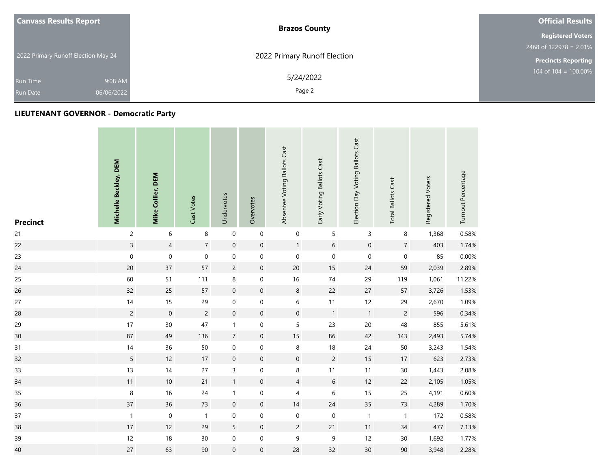| <b>Canvass Results Report</b>       | <b>Brazos County</b>         | <b>Official Results</b>    |
|-------------------------------------|------------------------------|----------------------------|
|                                     |                              | <b>Registered Voters</b>   |
|                                     |                              | 2468 of 122978 = $2.01\%$  |
| 2022 Primary Runoff Election May 24 | 2022 Primary Runoff Election | <b>Precincts Reporting</b> |
| 9:08 AM<br><b>Run Time</b>          | 5/24/2022                    | $104$ of $104 = 100.00\%$  |
| 06/06/2022<br><b>Run Date</b>       | Page 2                       |                            |

| <b>Precinct</b> | Michelle Beckley, DEM | Mike Collier, DEM | Cast Votes     | Undervotes          | Overvotes           | Absentee Voting Ballots Cast | Early Voting Ballots Cast | Election Day Voting Ballots Cast | <b>Total Ballots Cast</b> | Registered Voters | Turnout Percentage |
|-----------------|-----------------------|-------------------|----------------|---------------------|---------------------|------------------------------|---------------------------|----------------------------------|---------------------------|-------------------|--------------------|
| 21              | $\overline{c}$        | 6                 | 8              | $\,0\,$             | $\mbox{O}$          | $\boldsymbol{0}$             | 5                         | 3                                | 8                         | 1,368             | 0.58%              |
| 22              | $\mathsf{3}$          | $\overline{4}$    | $\overline{7}$ | $\boldsymbol{0}$    | $\boldsymbol{0}$    | $\mathbf{1}$                 | 6                         | $\mathbf 0$                      | $\overline{7}$            | 403               | 1.74%              |
| 23              | $\mathbf 0$           | $\pmb{0}$         | $\mathbf 0$    | $\pmb{0}$           | $\boldsymbol{0}$    | $\mathbf 0$                  | $\,0\,$                   | $\mathbf 0$                      | $\mathbf 0$               | 85                | 0.00%              |
| 24              | 20                    | 37                | 57             | $\overline{c}$      | $\boldsymbol{0}$    | $20\,$                       | 15                        | 24                               | 59                        | 2,039             | 2.89%              |
| 25              | 60                    | 51                | 111            | 8                   | $\boldsymbol{0}$    | 16                           | $74$                      | 29                               | 119                       | 1,061             | 11.22%             |
| 26              | 32                    | 25                | 57             | $\mathsf{O}\xspace$ | $\mathsf{O}\xspace$ | $\,8\,$                      | 22                        | 27                               | 57                        | 3,726             | 1.53%              |
| $27\,$          | 14                    | 15                | 29             | $\pmb{0}$           | $\mathsf{O}\xspace$ | 6                            | 11                        | 12                               | 29                        | 2,670             | 1.09%              |
| 28              | $\overline{c}$        | $\,0\,$           | $\overline{c}$ | $\mathbf 0$         | $\boldsymbol{0}$    | $\mathsf{O}\xspace$          | $\overline{1}$            | $\mathbf{1}$                     | $\overline{c}$            | 596               | 0.34%              |
| 29              | 17                    | 30                | 47             | $\mathbf{1}$        | 0                   | 5                            | 23                        | 20                               | 48                        | 855               | 5.61%              |
| 30              | 87                    | 49                | 136            | $\overline{7}$      | $\boldsymbol{0}$    | $15\,$                       | 86                        | 42                               | 143                       | 2,493             | 5.74%              |
| 31              | $14$                  | 36                | 50             | $\boldsymbol{0}$    | 0                   | 8                            | $18\,$                    | 24                               | 50                        | 3,243             | 1.54%              |
| 32              | 5                     | 12                | $17\,$         | $\mathbf 0$         | $\boldsymbol{0}$    | $\mathsf{O}\xspace$          | $\overline{2}$            | 15                               | 17                        | 623               | 2.73%              |
| 33              | 13                    | 14                | 27             | 3                   | $\boldsymbol{0}$    | 8                            | 11                        | 11                               | $30\,$                    | 1,443             | 2.08%              |
| 34              | 11                    | $10\,$            | 21             | $\mathbf{1}$        | $\boldsymbol{0}$    | $\overline{4}$               | $\boldsymbol{6}$          | 12                               | 22                        | 2,105             | 1.05%              |
| 35              | $\,$ 8 $\,$           | 16                | 24             | $\mathbf{1}$        | 0                   | 4                            | $\,$ 6 $\,$               | 15                               | 25                        | 4,191             | 0.60%              |
| 36              | 37                    | 36                | 73             | $\boldsymbol{0}$    | $\boldsymbol{0}$    | 14                           | 24                        | 35                               | 73                        | 4,289             | 1.70%              |
| 37              | $\mathbf 1$           | $\mathbf 0$       | $\mathbf{1}$   | $\boldsymbol{0}$    | $\boldsymbol{0}$    | $\mathbf 0$                  | $\boldsymbol{0}$          | $\mathbf{1}$                     | $\mathbf{1}$              | 172               | 0.58%              |
| 38              | $17\,$                | 12                | 29             | 5                   | $\mathbf 0$         | $\overline{2}$               | 21                        | 11                               | 34                        | 477               | 7.13%              |
| 39              | 12                    | $18$              | $30\,$         | $\boldsymbol{0}$    | 0                   | 9                            | $\mathsf 9$               | 12                               | $30\,$                    | 1,692             | 1.77%              |
| 40              | 27                    | 63                | $90\,$         | $\boldsymbol{0}$    | 0                   | 28                           | 32                        | 30                               | $90\,$                    | 3,948             | 2.28%              |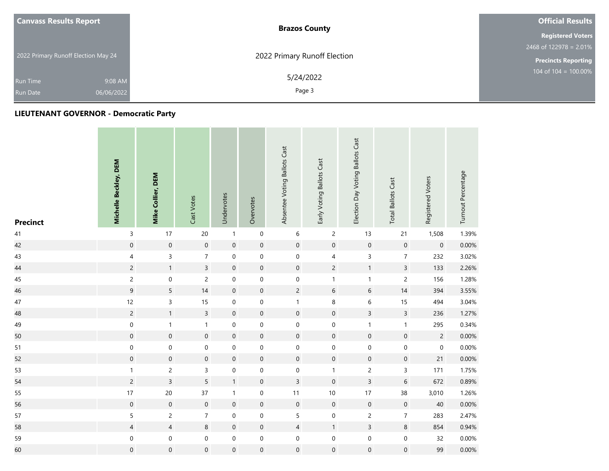| <b>Canvass Results Report</b>       | <b>Brazos County</b>         | <b>Official Results</b>    |
|-------------------------------------|------------------------------|----------------------------|
|                                     |                              | <b>Registered Voters</b>   |
|                                     |                              | 2468 of 122978 = $2.01\%$  |
| 2022 Primary Runoff Election May 24 | 2022 Primary Runoff Election | <b>Precincts Reporting</b> |
| 9:08 AM<br><b>Run Time</b>          | 5/24/2022                    | $104$ of $104 = 100.00\%$  |
| 06/06/2022<br><b>Run Date</b>       | Page 3                       |                            |

| <b>Precinct</b> | Michelle Beckley, DEM | Mike Collier, DEM   | Cast Votes          | Undervotes       | Overvotes           | Absentee Voting Ballots Cast | Early Voting Ballots Cast | Election Day Voting Ballots Cast | <b>Total Ballots Cast</b> | Registered Voters | Turnout Percentage |
|-----------------|-----------------------|---------------------|---------------------|------------------|---------------------|------------------------------|---------------------------|----------------------------------|---------------------------|-------------------|--------------------|
| $41\,$          | 3                     | 17                  | 20                  | $\mathbf{1}$     | $\mathbf 0$         | $\boldsymbol{6}$             | $\overline{c}$            | 13                               | 21                        | 1,508             | 1.39%              |
| 42              | $\mathbf 0$           | $\boldsymbol{0}$    | $\mathbf 0$         | $\mathbf 0$      | $\boldsymbol{0}$    | $\boldsymbol{0}$             | $\mathbf 0$               | $\boldsymbol{0}$                 | $\mathbf 0$               | $\boldsymbol{0}$  | 0.00%              |
| 43              | 4                     | $\overline{3}$      | $\overline{7}$      | $\boldsymbol{0}$ | $\mathbf 0$         | $\boldsymbol{0}$             | 4                         | $\mathsf{3}$                     | $\boldsymbol{7}$          | 232               | 3.02%              |
| 44              | $\overline{c}$        | $\mathbf{1}$        | $\overline{3}$      | $\mathbf 0$      | $\mathsf{O}\xspace$ | $\mathsf{O}\xspace$          | $\overline{c}$            | $\mathbf{1}$                     | $\overline{3}$            | 133               | 2.26%              |
| 45              | $\overline{c}$        | $\mathbf 0$         | $\overline{c}$      | $\boldsymbol{0}$ | $\mathbf 0$         | $\boldsymbol{0}$             | $\mathbf{1}$              | $\mathbf{1}$                     | $\overline{c}$            | 156               | 1.28%              |
| 46              | $\overline{9}$        | 5                   | 14                  | $\mathbf 0$      | $\mathsf{O}\xspace$ | $\overline{c}$               | $\sqrt{6}$                | $\sqrt{6}$                       | 14                        | 394               | 3.55%              |
| $47\,$          | 12                    | 3                   | 15                  | $\mbox{O}$       | $\mathbf 0$         | $\mathbf{1}$                 | $\, 8$                    | $\,$ 6 $\,$                      | 15                        | 494               | 3.04%              |
| 48              | $\overline{c}$        | $\mathbf{1}$        | $\overline{3}$      | $\mathbf 0$      | $\pmb{0}$           | $\mathsf{O}\xspace$          | $\mathbf 0$               | $\overline{3}$                   | $\overline{3}$            | 236               | 1.27%              |
| 49              | $\boldsymbol{0}$      | $\mathbf{1}$        | $\mathbf{1}$        | $\boldsymbol{0}$ | $\boldsymbol{0}$    | 0                            | $\boldsymbol{0}$          | $\mathbf{1}$                     | $\mathbf{1}$              | 295               | 0.34%              |
| 50              | $\mathbf 0$           | $\mathbf 0$         | $\mathbf 0$         | $\mathbf 0$      | $\mathsf{O}\xspace$ | $\pmb{0}$                    | $\mathbf 0$               | $\mathbf 0$                      | $\mathbf 0$               | $\overline{c}$    | 0.00%              |
| 51              | $\mathbf 0$           | $\boldsymbol{0}$    | 0                   | $\boldsymbol{0}$ | $\mathbf 0$         | $\mathsf{O}\xspace$          | $\boldsymbol{0}$          | $\mathbf 0$                      | $\mathbf 0$               | $\boldsymbol{0}$  | 0.00%              |
| 52              | $\mathsf{O}\xspace$   | $\mathbf 0$         | $\mathsf{O}\xspace$ | $\mathbf 0$      | $\mathsf{O}\xspace$ | $\mathsf{O}\xspace$          | $\mathbf 0$               | $\boldsymbol{0}$                 | $\boldsymbol{0}$          | 21                | 0.00%              |
| 53              | $\mathbf{1}$          | $\overline{c}$      | 3                   | $\boldsymbol{0}$ | $\mathbf 0$         | $\mathbf 0$                  | $\mathbf{1}$              | $\overline{c}$                   | $\mathsf{3}$              | 171               | 1.75%              |
| 54              | $\overline{c}$        | $\overline{3}$      | 5                   | $\mathbf{1}$     | $\mathsf{O}\xspace$ | $\overline{3}$               | $\mathbf 0$               | $\overline{3}$                   | $\sqrt{6}$                | 672               | 0.89%              |
| 55              | $17\,$                | 20                  | 37                  | $\mathbf{1}$     | $\mathbf 0$         | 11                           | $10\,$                    | $17\,$                           | 38                        | 3,010             | 1.26%              |
| 56              | $\boldsymbol{0}$      | $\mathbf 0$         | $\boldsymbol{0}$    | $\mathbf 0$      | $\pmb{0}$           | $\mathsf{O}\xspace$          | $\mathbf 0$               | $\mathbf 0$                      | $\mathbf 0$               | 40                | 0.00%              |
| 57              | 5                     | $\overline{2}$      | $\overline{7}$      | $\pmb{0}$        | $\mathbf 0$         | 5                            | $\mathbf 0$               | $\overline{c}$                   | $\overline{7}$            | 283               | 2.47%              |
| 58              | $\overline{4}$        | $\overline{4}$      | 8                   | $\mathbf 0$      | $\pmb{0}$           | $\overline{4}$               | $\mathbf{1}$              | $\mathsf{3}$                     | $\,8\,$                   | 854               | 0.94%              |
| 59              | 0                     | $\mathbf 0$         | $\boldsymbol{0}$    | $\pmb{0}$        | $\boldsymbol{0}$    | $\boldsymbol{0}$             | $\pmb{0}$                 | $\mathsf{O}\xspace$              | $\mathbf 0$               | 32                | 0.00%              |
| 60              | $\boldsymbol{0}$      | $\mathsf{O}\xspace$ | $\boldsymbol{0}$    | $\mathbf 0$      | $\mathsf{O}\xspace$ | $\boldsymbol{0}$             | $\mathbf 0$               | $\boldsymbol{0}$                 | $\boldsymbol{0}$          | 99                | $0.00\%$           |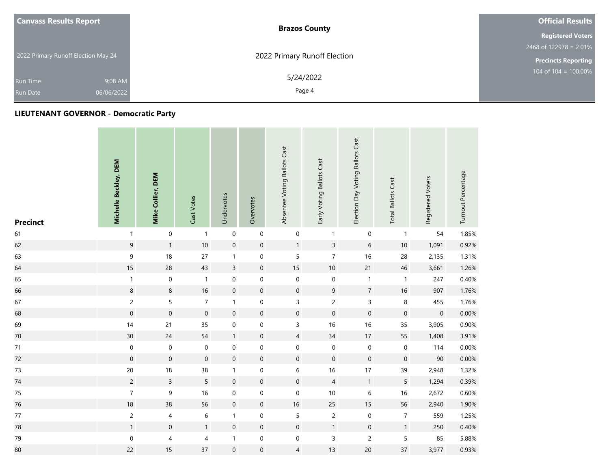| <b>Canvass Results Report</b>       | <b>Brazos County</b>         | <b>Official Results</b>    |
|-------------------------------------|------------------------------|----------------------------|
|                                     |                              | <b>Registered Voters</b>   |
|                                     |                              | 2468 of $122978 = 2.01\%$  |
| 2022 Primary Runoff Election May 24 | 2022 Primary Runoff Election | <b>Precincts Reporting</b> |
| 9:08 AM<br>Run Time                 | 5/24/2022                    | 104 of $104 = 100.00\%$    |
| 06/06/2022<br><b>Run Date</b>       | Page 4                       |                            |

| <b>Precinct</b> | Michelle Beckley, DEM | Mike Collier, DEM | Cast Votes       | Undervotes          | Overvotes           | Absentee Voting Ballots Cast | Early Voting Ballots Cast | Election Day Voting Ballots Cast | <b>Total Ballots Cast</b> | Registered Voters   | Turnout Percentage |
|-----------------|-----------------------|-------------------|------------------|---------------------|---------------------|------------------------------|---------------------------|----------------------------------|---------------------------|---------------------|--------------------|
| 61              | $\mathbf{1}$          | $\pmb{0}$         | $\mathbf{1}$     | $\pmb{0}$           | $\pmb{0}$           | $\pmb{0}$                    | $\mathbf{1}$              | $\boldsymbol{0}$                 | $\mathbf{1}$              | 54                  | 1.85%              |
| 62              | $\boldsymbol{9}$      | $\mathbf{1}$      | 10               | $\mathbf 0$         | $\boldsymbol{0}$    | $\mathbf{1}$                 | $\mathsf{3}$              | $\,$ 6 $\,$                      | $10$                      | 1,091               | 0.92%              |
| 63              | $\mathsf 9$           | 18                | 27               | $\mathbf{1}$        | $\mathsf{O}\xspace$ | 5                            | $\overline{7}$            | 16                               | 28                        | 2,135               | 1.31%              |
| 64              | 15                    | 28                | 43               | $\mathsf{3}$        | $\boldsymbol{0}$    | $15\,$                       | $10\,$                    | 21                               | 46                        | 3,661               | 1.26%              |
| 65              | $\mathbf{1}$          | $\mathbf 0$       | $\mathbf{1}$     | $\mathbf 0$         | $\mathbf 0$         | $\boldsymbol{0}$             | $\,0\,$                   | $\mathbf{1}$                     | $\mathbf{1}$              | 247                 | 0.40%              |
| 66              | $\,8\,$               | $\bf 8$           | 16               | $\mathsf{O}\xspace$ | $\mathsf{O}\xspace$ | $\mathsf{O}\xspace$          | $\overline{9}$            | $\overline{7}$                   | 16                        | 907                 | 1.76%              |
| 67              | $\overline{c}$        | 5                 | $\boldsymbol{7}$ | $\mathbf{1}$        | $\boldsymbol{0}$    | $\mathsf{3}$                 | $\overline{c}$            | $\mathsf{3}$                     | $\,8\,$                   | 455                 | 1.76%              |
| 68              | $\mathbf 0$           | $\boldsymbol{0}$  | $\mathbf 0$      | $\boldsymbol{0}$    | $\pmb{0}$           | $\mathbf 0$                  | $\boldsymbol{0}$          | $\mathbf 0$                      | $\mathbf 0$               | $\mathsf{O}\xspace$ | 0.00%              |
| 69              | $14$                  | 21                | 35               | $\boldsymbol{0}$    | $\mathbf 0$         | $\mathsf{3}$                 | 16                        | 16                               | 35                        | 3,905               | 0.90%              |
| $70\,$          | 30 <sub>o</sub>       | 24                | 54               | $\mathbf{1}$        | $\mathbf 0$         | $\overline{4}$               | $34$                      | 17                               | 55                        | 1,408               | 3.91%              |
| 71              | $\pmb{0}$             | $\pmb{0}$         | $\boldsymbol{0}$ | $\boldsymbol{0}$    | $\pmb{0}$           | 0                            | $\pmb{0}$                 | $\boldsymbol{0}$                 | $\pmb{0}$                 | 114                 | 0.00%              |
| 72              | $\mathbf 0$           | $\boldsymbol{0}$  | $\mathbf 0$      | $\mathbf 0$         | $\pmb{0}$           | $\pmb{0}$                    | $\mathbf 0$               | $\mathbf 0$                      | $\mathbf 0$               | 90                  | 0.00%              |
| 73              | $20\,$                | 18                | 38               | $\mathbf{1}$        | $\boldsymbol{0}$    | 6                            | $16$                      | 17                               | 39                        | 2,948               | 1.32%              |
| 74              | $\overline{c}$        | $\mathsf{3}$      | 5                | $\mathbf 0$         | $\pmb{0}$           | $\mathbf 0$                  | $\sqrt{4}$                | $\mathbf{1}$                     | 5                         | 1,294               | 0.39%              |
| 75              | $\overline{7}$        | 9                 | 16               | $\mathbf 0$         | $\mathbf 0$         | $\mathbf 0$                  | $10$                      | $\,$ 6 $\,$                      | 16                        | 2,672               | 0.60%              |
| 76              | $18\,$                | 38                | 56               | $\mathbf 0$         | $\boldsymbol{0}$    | $16\,$                       | 25                        | 15                               | 56                        | 2,940               | 1.90%              |
| 77              | $\overline{c}$        | 4                 | 6                | $\mathbf{1}$        | $\mathbf 0$         | 5                            | $\overline{c}$            | $\mathbf 0$                      | $\boldsymbol{7}$          | 559                 | 1.25%              |
| 78              | $\mathbf{1}$          | $\boldsymbol{0}$  | $\mathbf{1}$     | $\mathbf 0$         | $\pmb{0}$           | $\mathbf 0$                  | $\mathbf{1}$              | $\mathbf 0$                      | $\mathbf{1}$              | 250                 | 0.40%              |
| 79              | $\mathbf 0$           | $\overline{4}$    | 4                | $\mathbf{1}$        | $\pmb{0}$           | $\boldsymbol{0}$             | $\mathsf 3$               | $\overline{c}$                   | $\sqrt{5}$                | 85                  | 5.88%              |
| 80              | 22                    | 15                | 37               | $\mathbf 0$         | $\boldsymbol{0}$    | $\overline{4}$               | 13                        | 20                               | 37                        | 3,977               | 0.93%              |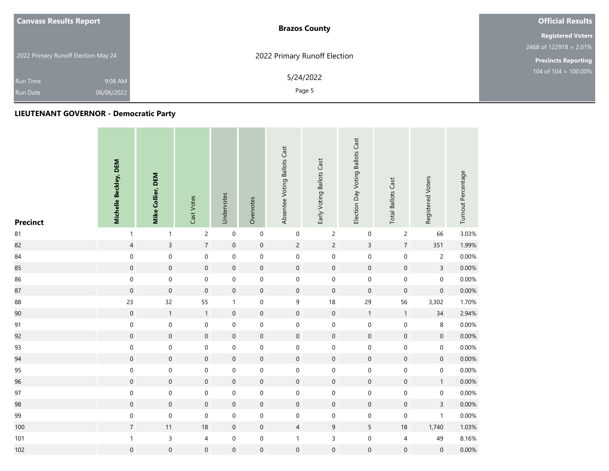| <b>Canvass Results Report</b>       | <b>Brazos County</b>         | <b>Official Results</b>    |
|-------------------------------------|------------------------------|----------------------------|
|                                     |                              | <b>Registered Voters</b>   |
|                                     |                              | 2468 of 122978 = $2.01\%$  |
| 2022 Primary Runoff Election May 24 | 2022 Primary Runoff Election | <b>Precincts Reporting</b> |
| 9:08 AM<br>Run Time                 | 5/24/2022                    | 104 of $104 = 100.00\%$    |
| 06/06/2022<br><b>Run Date</b>       | Page 5                       |                            |

| <b>Precinct</b> | Michelle Beckley, DEM | Mike Collier, DEM   | Cast Votes       | Undervotes       | Overvotes           | Absentee Voting Ballots Cast | Early Voting Ballots Cast | Election Day Voting Ballots Cast | <b>Total Ballots Cast</b> | Registered Voters   | Turnout Percentage |
|-----------------|-----------------------|---------------------|------------------|------------------|---------------------|------------------------------|---------------------------|----------------------------------|---------------------------|---------------------|--------------------|
| 81              | $\mathbf{1}$          | $\mathbf{1}$        | $\overline{c}$   | $\pmb{0}$        | $\mathbf 0$         | $\boldsymbol{0}$             | $\overline{2}$            | $\mathbf 0$                      | $\overline{c}$            | 66                  | 3.03%              |
| 82              | $\overline{4}$        | $\overline{3}$      | $\overline{7}$   | $\mathbf 0$      | $\pmb{0}$           | $\overline{2}$               | $\overline{2}$            | $\overline{3}$                   | $\sqrt{7}$                | 351                 | 1.99%              |
| 84              | $\boldsymbol{0}$      | $\boldsymbol{0}$    | $\boldsymbol{0}$ | $\mathbf 0$      | $\boldsymbol{0}$    | $\boldsymbol{0}$             | $\mathsf{O}\xspace$       | $\mathsf{O}\xspace$              | $\mathbf 0$               | $\overline{c}$      | 0.00%              |
| 85              | $\mathsf{O}\xspace$   | $\mathsf{O}\xspace$ | $\mathbf 0$      | $\mathbf 0$      | $\mathbf 0$         | $\mathbf 0$                  | $\mathbf 0$               | $\boldsymbol{0}$                 | $\mathbf 0$               | $\overline{3}$      | 0.00%              |
| 86              | $\mathbf 0$           | $\boldsymbol{0}$    | $\pmb{0}$        | $\mathbf 0$      | $\mathbf 0$         | $\mathsf{O}\xspace$          | $\mathbf 0$               | $\mathbf 0$                      | $\pmb{0}$                 | $\mathsf{O}\xspace$ | 0.00%              |
| 87              | $\mathbf 0$           | $\mathsf{O}\xspace$ | $\mathbf 0$      | $\mathbf 0$      | $\pmb{0}$           | $\mathbf 0$                  | $\mathbf 0$               | $\mathbf 0$                      | $\boldsymbol{0}$          | $\pmb{0}$           | 0.00%              |
| 88              | 23                    | 32                  | 55               | $\mathbf{1}$     | $\mathbf 0$         | 9                            | 18                        | 29                               | 56                        | 3,302               | 1.70%              |
| 90              | $\boldsymbol{0}$      | $\mathbf{1}$        | $\mathbf{1}$     | $\mathbf 0$      | $\boldsymbol{0}$    | $\pmb{0}$                    | $\mathbf 0$               | $\mathbf{1}$                     | $\mathbf{1}$              | $34$                | 2.94%              |
| 91              | $\boldsymbol{0}$      | $\mathbf 0$         | $\mathbf 0$      | $\mathbf 0$      | $\mathbf 0$         | $\boldsymbol{0}$             | $\mathbf 0$               | $\mathbf 0$                      | $\mathbf 0$               | 8                   | 0.00%              |
| 92              | $\mathsf{O}\xspace$   | $\mathsf{O}\xspace$ | $\mathbf 0$      | $\mathbf 0$      | $\mathsf{O}\xspace$ | $\mathbf 0$                  | $\boldsymbol{0}$          | $\boldsymbol{0}$                 | $\mathsf{O}\xspace$       | $\mathsf{O}\xspace$ | 0.00%              |
| 93              | $\boldsymbol{0}$      | $\mathbf 0$         | $\boldsymbol{0}$ | $\mathbf 0$      | $\boldsymbol{0}$    | $\boldsymbol{0}$             | $\mathsf{O}\xspace$       | $\mathsf{O}\xspace$              | $\mathbf 0$               | $\mathbf 0$         | 0.00%              |
| 94              | $\mathsf{O}\xspace$   | $\mathsf{O}\xspace$ | $\mathbf 0$      | $\mathbf 0$      | $\pmb{0}$           | $\mathsf{O}\xspace$          | $\boldsymbol{0}$          | $\mathsf{O}\xspace$              | $\mathsf{O}\xspace$       | $\mathbf 0$         | 0.00%              |
| 95              | $\mathbf 0$           | $\mathbf 0$         | $\mathbf 0$      | $\mathbf 0$      | $\mathbf 0$         | $\mathbf 0$                  | $\mathbf 0$               | $\mathsf{O}\xspace$              | $\mathbf 0$               | 0                   | 0.00%              |
| 96              | $\mathbf 0$           | $\mathsf{O}\xspace$ | $\mathbf 0$      | $\mathbf 0$      | $\mathbf 0$         | $\pmb{0}$                    | $\mathbf 0$               | $\mathbf 0$                      | $\mathsf{O}\xspace$       | 1                   | 0.00%              |
| 97              | $\boldsymbol{0}$      | $\mathbf 0$         | 0                | $\boldsymbol{0}$ | $\boldsymbol{0}$    | $\mathsf{O}\xspace$          | $\mathbf 0$               | $\mathbf 0$                      | $\mathbf 0$               | 0                   | 0.00%              |
| 98              | $\mathsf{O}\xspace$   | $\mathsf{O}\xspace$ | $\boldsymbol{0}$ | $\mathbf 0$      | $\boldsymbol{0}$    | $\mathbf 0$                  | $\boldsymbol{0}$          | $\boldsymbol{0}$                 | $\mathbf 0$               | $\overline{3}$      | 0.00%              |
| 99              | $\mathbf 0$           | $\mathbf 0$         | $\mathbf 0$      | $\pmb{0}$        | $\boldsymbol{0}$    | $\boldsymbol{0}$             | $\mathbf 0$               | $\mathbf 0$                      | $\mathbf 0$               | $\mathbf{1}$        | 0.00%              |
| 100             | $\overline{7}$        | 11                  | $18\,$           | $\mathbf 0$      | $\pmb{0}$           | $\overline{4}$               | $9\,$                     | $5\phantom{.0}$                  | $18$                      | 1,740               | 1.03%              |
| 101             | $\mathbf{1}$          | $\mathsf{3}$        | $\overline{4}$   | $\boldsymbol{0}$ | $\pmb{0}$           | $\mathbf{1}$                 | $\mathsf 3$               | $\mathbf 0$                      | $\overline{4}$            | 49                  | 8.16%              |
| 102             | $\mathsf{O}\xspace$   | $\mathbf 0$         | $\mathbf 0$      | $\boldsymbol{0}$ | $\mathbf 0$         | $\mathsf{O}\xspace$          | $\mathbf 0$               | $\mathbf 0$                      | $\boldsymbol{0}$          | $\boldsymbol{0}$    | 0.00%              |

**Contract**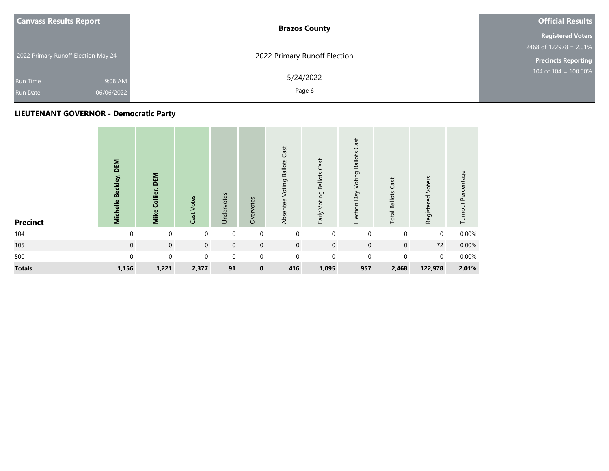| <b>Canvass Results Report</b>       | <b>Brazos County</b>         | <b>Official Results</b>    |
|-------------------------------------|------------------------------|----------------------------|
|                                     |                              | <b>Registered Voters</b>   |
|                                     |                              | $2468$ of 122978 = 2.01%   |
| 2022 Primary Runoff Election May 24 | 2022 Primary Runoff Election | <b>Precincts Reporting</b> |
| 9:08 AM<br><b>Run Time</b>          | 5/24/2022                    | $104$ of $104 = 100.00\%$  |
| 06/06/2022<br><b>Run Date</b>       | Page 6                       |                            |

| <b>Precinct</b> | DEM<br>Michelle Beckley, | <b>DEM</b><br>Mike Collier, | Cast Votes  | Undervotes  | Overvotes   | Cast<br><b>Voting Ballots</b><br>Absentee | Early Voting Ballots Cast | Cast<br>Election Day Voting Ballots | Cast<br><b>Total Ballots</b> | Registered Voters | Turnout Percentage |
|-----------------|--------------------------|-----------------------------|-------------|-------------|-------------|-------------------------------------------|---------------------------|-------------------------------------|------------------------------|-------------------|--------------------|
| 104             | $\Omega$                 | $\mathbf 0$                 | $\mathbf 0$ | $\mathbf 0$ | 0           | $\mathbf 0$                               | $\mathbf 0$               | $\mathbf 0$                         | 0                            | 0                 | 0.00%              |
| 105             | $\mathbf 0$              | $\mathbf 0$                 | $\mathbf 0$ | $\mathbf 0$ | $\mathbf 0$ | $\mathbf 0$                               | $\mathbf 0$               | $\mathbf 0$                         | $\mathbf 0$                  | 72                | 0.00%              |
| 500             | $\Omega$                 | $\mathbf 0$                 | $\mathbf 0$ | $\mathbf 0$ | $\mathbf 0$ | $\mathbf 0$                               | $\mathbf 0$               | $\Omega$                            | $\Omega$                     | $\mathbf 0$       | 0.00%              |
| <b>Totals</b>   | 1,156                    | 1,221                       | 2,377       | 91          | $\mathbf 0$ | 416                                       | 1,095                     | 957                                 | 2,468                        | 122,978           | 2.01%              |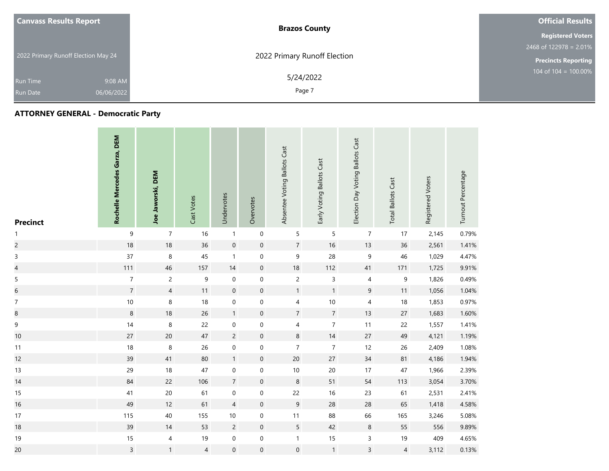| <b>Canvass Results Report</b>       |            | <b>Brazos County</b>         | <b>Official Results</b>                     |
|-------------------------------------|------------|------------------------------|---------------------------------------------|
|                                     |            |                              | <b>Registered Voters</b>                    |
|                                     |            |                              | 2468 of 122978 = 2.01%                      |
| 2022 Primary Runoff Election May 24 |            | 2022 Primary Runoff Election | <b>Precincts Reporting</b>                  |
| <b>Run Time</b>                     | 9:08 AM    | 5/24/2022                    | $104 \overline{\text{ of } 104} = 100.00\%$ |
| Run Date                            | 06/06/2022 | Page 7                       |                                             |

| <b>Precinct</b>          | Rochelle Mercedes Garza, DEM | Joe Jaworski, DEM | Cast Votes     | Undervotes       | Overvotes           | Absentee Voting Ballots Cast | Early Voting Ballots Cast | Election Day Voting Ballots Cast | <b>Total Ballots Cast</b> | Registered Voters | Turnout Percentage |
|--------------------------|------------------------------|-------------------|----------------|------------------|---------------------|------------------------------|---------------------------|----------------------------------|---------------------------|-------------------|--------------------|
| $\mathbf{1}$             | $\boldsymbol{9}$             | $\boldsymbol{7}$  | 16             | $\mathbf{1}$     | $\pmb{0}$           | 5                            | 5                         | $\boldsymbol{7}$                 | 17                        | 2,145             | 0.79%              |
| $\overline{c}$           | $18$                         | 18                | 36             | $\mathbf 0$      | $\pmb{0}$           | $7\overline{ }$              | $16\,$                    | 13                               | 36                        | 2,561             | 1.41%              |
| $\mathsf 3$              | 37                           | $\,8\,$           | 45             | $\mathbf{1}$     | $\boldsymbol{0}$    | 9                            | 28                        | $\mathsf 9$                      | 46                        | 1,029             | 4.47%              |
| $\overline{\mathcal{L}}$ | 111                          | 46                | 157            | 14               | $\mathsf{O}\xspace$ | $18\,$                       | 112                       | 41                               | 171                       | 1,725             | 9.91%              |
| 5                        | $\overline{\mathcal{I}}$     | $\overline{c}$    | 9              | $\boldsymbol{0}$ | $\boldsymbol{0}$    | $\overline{c}$               | 3                         | $\overline{\mathcal{A}}$         | $\boldsymbol{9}$          | 1,826             | 0.49%              |
| $\overline{6}$           | $\overline{7}$               | $\overline{4}$    | 11             | $\boldsymbol{0}$ | $\mathsf{O}\xspace$ | 1                            | $\mathbf{1}$              | $\boldsymbol{9}$                 | 11                        | 1,056             | 1.04%              |
| $\boldsymbol{7}$         | $10\,$                       | 8                 | 18             | $\boldsymbol{0}$ | $\pmb{0}$           | 4                            | $10\,$                    | 4                                | 18                        | 1,853             | 0.97%              |
| $\bf8$                   | $\,8\,$                      | 18                | 26             | $\mathbf{1}$     | $\mathbf 0$         | $\overline{7}$               | $\overline{7}$            | 13                               | 27                        | 1,683             | 1.60%              |
| 9                        | 14                           | 8                 | 22             | $\boldsymbol{0}$ | $\mathbf 0$         | 4                            | $\boldsymbol{7}$          | 11                               | 22                        | 1,557             | 1.41%              |
| $10$                     | $27\,$                       | $20\,$            | $47\,$         | $\overline{c}$   | $\pmb{0}$           | $\bf 8$                      | $14$                      | $27\,$                           | 49                        | 4,121             | 1.19%              |
| 11                       | $18\,$                       | 8                 | 26             | $\mathbf 0$      | $\mathsf{O}\xspace$ | $\overline{7}$               | $\overline{7}$            | 12                               | 26                        | 2,409             | 1.08%              |
| 12                       | 39                           | 41                | 80             | $\mathbf{1}$     | $\pmb{0}$           | $20\,$                       | 27                        | $34\,$                           | 81                        | 4,186             | 1.94%              |
| 13                       | 29                           | 18                | 47             | $\mathbf 0$      | $\mathbf 0$         | $10\,$                       | $20\,$                    | 17                               | 47                        | 1,966             | 2.39%              |
| 14                       | $84\,$                       | 22                | 106            | $\boldsymbol{7}$ | $\boldsymbol{0}$    | $\bf 8$                      | 51                        | 54                               | 113                       | 3,054             | 3.70%              |
| 15                       | $41\,$                       | 20                | 61             | $\mathbf 0$      | $\mathbf 0$         | 22                           | $16\,$                    | 23                               | 61                        | 2,531             | 2.41%              |
| 16                       | 49                           | 12                | 61             | $\overline{4}$   | $\boldsymbol{0}$    | 9                            | 28                        | 28                               | 65                        | 1,418             | 4.58%              |
| 17                       | 115                          | 40                | 155            | $10$             | $\boldsymbol{0}$    | $11$                         | 88                        | 66                               | 165                       | 3,246             | 5.08%              |
| 18                       | 39                           | 14                | 53             | $\overline{c}$   | $\pmb{0}$           | $5\overline{)}$              | 42                        | $\,8\,$                          | 55                        | 556               | 9.89%              |
| 19                       | $15\,$                       | $\overline{4}$    | 19             | $\pmb{0}$        | $\pmb{0}$           | $\mathbf{1}$                 | $15\,$                    | 3                                | 19                        | 409               | 4.65%              |
| 20                       | $\mathsf{3}$                 | $\mathbf{1}$      | $\overline{4}$ | $\boldsymbol{0}$ | $\mathsf{O}\xspace$ | $\boldsymbol{0}$             | $\mathbf{1}$              | $\overline{3}$                   | $\overline{4}$            | 3,112             | 0.13%              |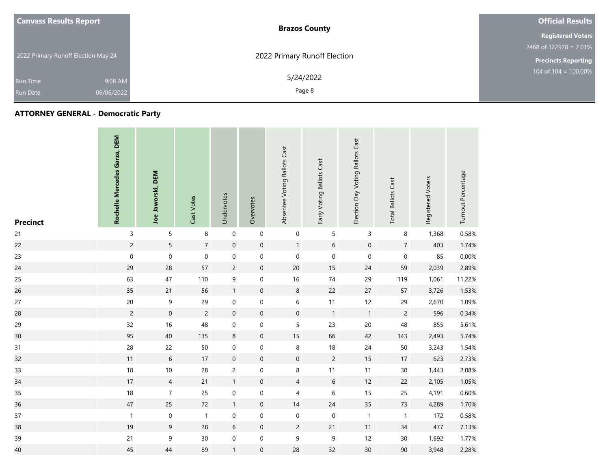| <b>Canvass Results Report</b>       |            | <b>Brazos County</b>         | <b>Official Results</b>                     |
|-------------------------------------|------------|------------------------------|---------------------------------------------|
|                                     |            |                              | <b>Registered Voters</b>                    |
|                                     |            |                              | $2468$ of 122978 = 2.01%                    |
| 2022 Primary Runoff Election May 24 |            | 2022 Primary Runoff Election | <b>Precincts Reporting</b>                  |
| <b>Run Time</b>                     | 9:08 AM    | 5/24/2022                    | $104 \overline{\text{ of } 104} = 100.00\%$ |
| Run Date                            | 06/06/2022 | Page 8                       |                                             |

| <b>Precinct</b> | Rochelle Mercedes Garza, DEM | Joe Jaworski, DEM   | Cast Votes       | Undervotes          | Overvotes        | Absentee Voting Ballots Cast | Early Voting Ballots Cast | Election Day Voting Ballots Cast | <b>Total Ballots Cast</b> | Registered Voters | Turnout Percentage |
|-----------------|------------------------------|---------------------|------------------|---------------------|------------------|------------------------------|---------------------------|----------------------------------|---------------------------|-------------------|--------------------|
| 21              | $\mathsf{3}$                 | 5                   | 8                | $\mathbf 0$         | $\mathbf 0$      | $\mathbf 0$                  | 5                         | 3                                | 8                         | 1,368             | 0.58%              |
| 22              | $\overline{c}$               | 5                   | $\overline{7}$   | $\boldsymbol{0}$    | $\boldsymbol{0}$ | 1                            | 6                         | $\mathbf 0$                      | $\overline{7}$            | 403               | 1.74%              |
| 23              | $\pmb{0}$                    | $\mathbf 0$         | $\boldsymbol{0}$ | $\pmb{0}$           | $\pmb{0}$        | $\mathbf 0$                  | $\boldsymbol{0}$          | $\pmb{0}$                        | $\pmb{0}$                 | 85                | 0.00%              |
| 24              | 29                           | 28                  | 57               | $\overline{c}$      | $\pmb{0}$        | $20\,$                       | $15\,$                    | 24                               | 59                        | 2,039             | 2.89%              |
| 25              | 63                           | 47                  | 110              | 9                   | $\boldsymbol{0}$ | 16                           | $74\,$                    | 29                               | 119                       | 1,061             | 11.22%             |
| 26              | 35                           | 21                  | 56               | $\mathbf{1}$        | $\boldsymbol{0}$ | $\bf 8$                      | 22                        | 27                               | 57                        | 3,726             | 1.53%              |
| 27              | $20\,$                       | 9                   | 29               | $\boldsymbol{0}$    | 0                | 6                            | 11                        | 12                               | 29                        | 2,670             | 1.09%              |
| 28              | $\overline{c}$               | $\mathsf{O}\xspace$ | $\overline{c}$   | $\mathsf{O}\xspace$ | $\boldsymbol{0}$ | $\mathbf 0$                  | $\overline{1}$            | $\mathbf{1}$                     | $\overline{c}$            | 596               | 0.34%              |
| 29              | 32                           | 16                  | 48               | $\pmb{0}$           | 0                | 5                            | 23                        | 20                               | 48                        | 855               | 5.61%              |
| 30              | 95                           | 40                  | 135              | $\,8\,$             | $\boldsymbol{0}$ | 15                           | 86                        | 42                               | 143                       | 2,493             | 5.74%              |
| 31              | 28                           | 22                  | 50               | $\pmb{0}$           | 0                | 8                            | $18\,$                    | 24                               | 50                        | 3,243             | 1.54%              |
| 32              | $11$                         | $6\phantom{.}$      | 17               | $\mathbf 0$         | $\boldsymbol{0}$ | $\mathbf 0$                  | $\overline{c}$            | $15\,$                           | 17                        | 623               | 2.73%              |
| 33              | $18\,$                       | $10\,$              | 28               | $\overline{c}$      | $\boldsymbol{0}$ | 8                            | 11                        | 11                               | $30\,$                    | 1,443             | 2.08%              |
| 34              | 17                           | $\overline{4}$      | 21               | $\mathbf{1}$        | $\boldsymbol{0}$ | $\overline{4}$               | $\sqrt{6}$                | 12                               | 22                        | 2,105             | 1.05%              |
| 35              | $18\,$                       | $\boldsymbol{7}$    | 25               | $\boldsymbol{0}$    | $\pmb{0}$        | 4                            | 6                         | 15                               | 25                        | 4,191             | 0.60%              |
| 36              | 47                           | 25                  | 72               | $\mathbf{1}$        | $\boldsymbol{0}$ | $14$                         | 24                        | 35                               | 73                        | 4,289             | 1.70%              |
| 37              | $\mathbf{1}$                 | $\boldsymbol{0}$    | $\mathbf{1}$     | $\boldsymbol{0}$    | $\boldsymbol{0}$ | $\boldsymbol{0}$             | $\boldsymbol{0}$          | $\mathbf{1}$                     | $\mathbf{1}$              | 172               | 0.58%              |
| 38              | 19                           | 9                   | 28               | $6\phantom{.}$      | $\pmb{0}$        | $\overline{2}$               | 21                        | 11                               | 34                        | 477               | 7.13%              |
| 39              | 21                           | 9                   | $30\,$           | $\pmb{0}$           | $\boldsymbol{0}$ | $\boldsymbol{9}$             | $\boldsymbol{9}$          | 12                               | $30\,$                    | 1,692             | 1.77%              |
| 40              | 45                           | 44                  | 89               | $\mathbf{1}$        | 0                | 28                           | 32                        | 30                               | $90\,$                    | 3,948             | 2.28%              |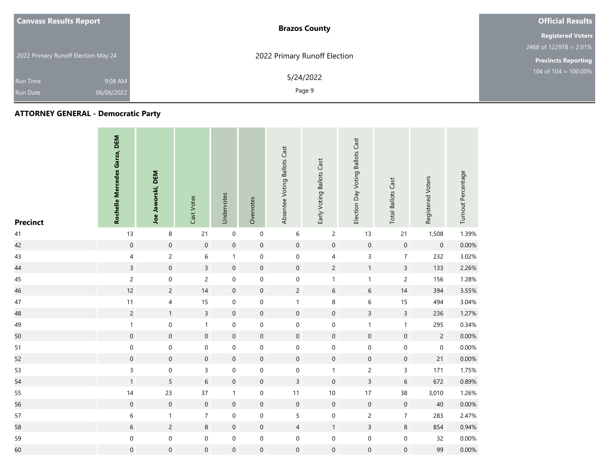| <b>Canvass Results Report</b>       |            | <b>Brazos County</b>         | <b>Official Results</b>          |
|-------------------------------------|------------|------------------------------|----------------------------------|
|                                     |            |                              | <b>Registered Voters</b>         |
|                                     |            |                              | 2468 of $122978 = 2.01\%$        |
| 2022 Primary Runoff Election May 24 |            | 2022 Primary Runoff Election | <b>Precincts Reporting</b>       |
| <b>Run Time</b>                     | 9:08 AM    | 5/24/2022                    | $104 \text{ of } 104 = 100.00\%$ |
| <b>Run Date</b>                     | 06/06/2022 | Page 9                       |                                  |

| <b>Precinct</b> | Rochelle Mercedes Garza, DEM | Joe Jaworski, DEM       | Cast Votes          | Undervotes       | Overvotes           | Absentee Voting Ballots Cast | Early Voting Ballots Cast | Election Day Voting Ballots Cast | <b>Total Ballots Cast</b> | Registered Voters   | Turnout Percentage |
|-----------------|------------------------------|-------------------------|---------------------|------------------|---------------------|------------------------------|---------------------------|----------------------------------|---------------------------|---------------------|--------------------|
| $41$            | 13                           | 8                       | 21                  | $\pmb{0}$        | $\mathbf 0$         | $\boldsymbol{6}$             | $\overline{c}$            | 13                               | 21                        | 1,508               | 1.39%              |
| 42              | $\mathbf 0$                  | $\mathbf 0$             | $\mathbf 0$         | $\mathbf 0$      | $\mathsf{O}\xspace$ | $\mathsf{O}\xspace$          | $\mathbf 0$               | $\mathsf{O}\xspace$              | $\mathbf 0$               | $\mathsf{O}\xspace$ | 0.00%              |
| 43              | $\overline{4}$               | $\overline{c}$          | 6                   | $\mathbf{1}$     | $\boldsymbol{0}$    | $\boldsymbol{0}$             | 4                         | $\mathsf{3}$                     | $\overline{7}$            | 232                 | 3.02%              |
| 44              | $\overline{3}$               | $\mathbf 0$             | $\overline{3}$      | $\mathbf 0$      | $\boldsymbol{0}$    | $\mathbf 0$                  | $\overline{c}$            | $\mathbf{1}$                     | $\overline{3}$            | 133                 | 2.26%              |
| 45              | $\overline{c}$               | 0                       | $\overline{c}$      | 0                | $\boldsymbol{0}$    | $\boldsymbol{0}$             | $\mathbf{1}$              | $\mathbf{1}$                     | $\mathsf{2}\,$            | 156                 | 1.28%              |
| 46              | 12                           | $\overline{c}$          | 14                  | $\mathbf 0$      | $\pmb{0}$           | $\overline{c}$               | $\boldsymbol{6}$          | $\sqrt{6}$                       | 14                        | 394                 | 3.55%              |
| 47              | 11                           | $\overline{\mathbf{4}}$ | $15\,$              | $\mathbf 0$      | $\mathbf 0$         | $\mathbf{1}$                 | 8                         | $\,$ 6 $\,$                      | 15                        | 494                 | 3.04%              |
| 48              | $\overline{c}$               | $\mathbf{1}$            | $\overline{3}$      | $\boldsymbol{0}$ | $\boldsymbol{0}$    | $\mathsf{O}\xspace$          | $\mathbf 0$               | $\overline{3}$                   | $\overline{3}$            | 236                 | 1.27%              |
| 49              | $\mathbf{1}$                 | $\boldsymbol{0}$        | $\mathbf{1}$        | $\pmb{0}$        | $\boldsymbol{0}$    | $\boldsymbol{0}$             | $\mathbf 0$               | $\mathbf{1}$                     | $\mathbf{1}$              | 295                 | 0.34%              |
| 50              | $\boldsymbol{0}$             | $\mathbf 0$             | $\boldsymbol{0}$    | $\mathbf 0$      | $\pmb{0}$           | $\mathbf 0$                  | $\mathbf 0$               | $\mathsf{O}\xspace$              | $\mathsf{O}\xspace$       | $\overline{2}$      | 0.00%              |
| 51              | $\mathbf 0$                  | $\mathbf 0$             | $\mathsf{O}\xspace$ | $\mathbf 0$      | $\boldsymbol{0}$    | $\mathbf 0$                  | $\mathsf{O}\xspace$       | $\mathsf{O}\xspace$              | $\mathsf{O}\xspace$       | $\mathsf{O}\xspace$ | 0.00%              |
| 52              | $\boldsymbol{0}$             | $\boldsymbol{0}$        | $\mathsf{O}\xspace$ | $\boldsymbol{0}$ | $\pmb{0}$           | $\mathsf{O}\xspace$          | $\mathbf 0$               | $\mathbf 0$                      | $\boldsymbol{0}$          | 21                  | 0.00%              |
| 53              | $\mathsf{3}$                 | 0                       | 3                   | $\pmb{0}$        | $\boldsymbol{0}$    | $\boldsymbol{0}$             | $\mathbf{1}$              | $\overline{c}$                   | $\mathsf 3$               | 171                 | 1.75%              |
| 54              | $\mathbf{1}$                 | 5                       | $6\phantom{a}$      | $\mathbf 0$      | $\mathsf{O}\xspace$ | $\overline{3}$               | $\mathsf{O}\xspace$       | $\overline{3}$                   | $\sqrt{6}$                | 672                 | 0.89%              |
| 55              | $14$                         | 23                      | 37                  | $\mathbf{1}$     | 0                   | $11$                         | $10\,$                    | 17                               | 38                        | 3,010               | 1.26%              |
| 56              | $\boldsymbol{0}$             | $\boldsymbol{0}$        | $\boldsymbol{0}$    | $\mathbf 0$      | $\pmb{0}$           | $\mathbf 0$                  | $\mathbf 0$               | $\mathbf 0$                      | $\mathbf 0$               | 40                  | 0.00%              |
| 57              | 6                            | $\mathbf{1}$            | $\overline{7}$      | $\mathbf 0$      | $\boldsymbol{0}$    | 5                            | $\mathbf 0$               | $\overline{c}$                   | $\overline{7}$            | 283                 | 2.47%              |
| 58              | $6\,$                        | $\overline{c}$          | $\bf 8$             | $\mathbf 0$      | $\pmb{0}$           | $\overline{4}$               | $\mathbf{1}$              | $\mathsf{3}$                     | $\,8\,$                   | 854                 | 0.94%              |
| 59              | $\boldsymbol{0}$             | $\boldsymbol{0}$        | $\boldsymbol{0}$    | $\boldsymbol{0}$ | $\boldsymbol{0}$    | $\boldsymbol{0}$             | $\mathbf 0$               | $\mathbf 0$                      | $\mathbf 0$               | 32                  | 0.00%              |
| 60              | $\boldsymbol{0}$             | $\mathsf{O}\xspace$     | $\mathbf 0$         | $\boldsymbol{0}$ | $\mathbf 0$         | $\mathsf{O}\xspace$          | $\boldsymbol{0}$          | $\mathbf 0$                      | $\mathsf{O}\xspace$       | 99                  | 0.00%              |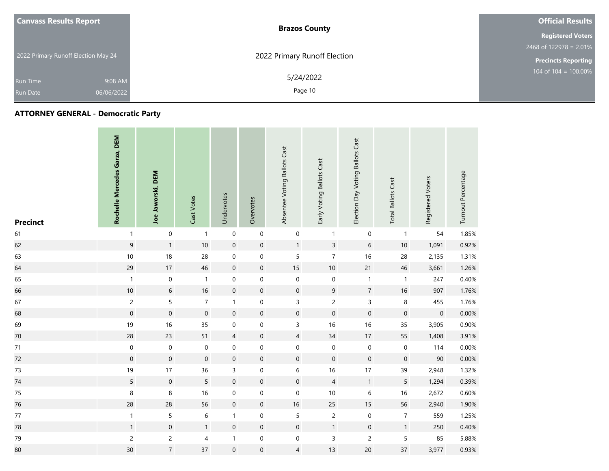| <b>Canvass Results Report</b>       |            | <b>Brazos County</b>         | <b>Official Results</b>    |
|-------------------------------------|------------|------------------------------|----------------------------|
|                                     |            |                              | <b>Registered Voters</b>   |
|                                     |            |                              | 2468 of $122978 = 2.01\%$  |
| 2022 Primary Runoff Election May 24 |            | 2022 Primary Runoff Election | <b>Precincts Reporting</b> |
| <b>Run Time</b>                     | 9:08 AM    | 5/24/2022                    | 104 of $104 = 100.00\%$    |
| Run Date                            | 06/06/2022 | Page 10                      |                            |

| <b>Precinct</b> | Rochelle Mercedes Garza, DEM | Joe Jaworski, DEM | Cast Votes          | Undervotes          | Overvotes           | Absentee Voting Ballots Cast | Early Voting Ballots Cast | Election Day Voting Ballots Cast | <b>Total Ballots Cast</b> | Registered Voters | Turnout Percentage |
|-----------------|------------------------------|-------------------|---------------------|---------------------|---------------------|------------------------------|---------------------------|----------------------------------|---------------------------|-------------------|--------------------|
| 61              | $\mathbf{1}$                 | $\mathbf 0$       | $\mathbf{1}$        | $\mathbf 0$         | $\mathbf 0$         | $\pmb{0}$                    | $\mathbf{1}$              | $\mbox{O}$                       | $\mathbf{1}$              | 54                | 1.85%              |
| 62              | $\mathsf 9$                  | $\mathbf{1}$      | $10$                | $\mathbf 0$         | $\mathsf{O}\xspace$ | $\mathbf{1}$                 | $\overline{3}$            | $\,$ 6 $\,$                      | 10                        | 1,091             | 0.92%              |
| 63              | $10$                         | 18                | 28                  | $\mathbf 0$         | $\boldsymbol{0}$    | 5                            | $\overline{7}$            | 16                               | 28                        | 2,135             | 1.31%              |
| 64              | 29                           | 17                | 46                  | $\mathbf 0$         | $\mathsf{O}\xspace$ | $15\,$                       | $10\,$                    | 21                               | 46                        | 3,661             | 1.26%              |
| 65              | $\mathbf{1}$                 | $\mathbf 0$       | $\mathbf{1}$        | $\pmb{0}$           | $\boldsymbol{0}$    | $\mathbf 0$                  | $\boldsymbol{0}$          | $\mathbf{1}$                     | $\mathbf{1}$              | 247               | 0.40%              |
| 66              | $10\,$                       | $\sqrt{6}$        | 16                  | $\mathbf 0$         | $\mathsf{O}\xspace$ | $\pmb{0}$                    | $\boldsymbol{9}$          | $\sqrt{7}$                       | 16                        | 907               | 1.76%              |
| 67              | $\overline{c}$               | 5                 | $\overline{7}$      | $\mathbf{1}$        | $\boldsymbol{0}$    | 3                            | $\overline{c}$            | $\mathsf{3}$                     | 8                         | 455               | 1.76%              |
| 68              | $\mathbf 0$                  | $\mathbf 0$       | $\mathbf 0$         | $\mathbf 0$         | $\mathsf{O}\xspace$ | $\boldsymbol{0}$             | $\mathbf 0$               | $\mathbf 0$                      | $\mathbf 0$               | $\boldsymbol{0}$  | 0.00%              |
| 69              | 19                           | 16                | 35                  | $\boldsymbol{0}$    | $\boldsymbol{0}$    | $\mathsf{3}$                 | 16                        | 16                               | 35                        | 3,905             | 0.90%              |
| 70              | 28                           | 23                | 51                  | $\overline{4}$      | $\mathsf{O}\xspace$ | $\overline{4}$               | $34\,$                    | 17                               | 55                        | 1,408             | 3.91%              |
| 71              | $\mathbf 0$                  | $\pmb{0}$         | $\pmb{0}$           | $\boldsymbol{0}$    | $\mathbf 0$         | $\boldsymbol{0}$             | $\boldsymbol{0}$          | $\mathbf 0$                      | $\boldsymbol{0}$          | 114               | 0.00%              |
| 72              | $\mathbf 0$                  | $\boldsymbol{0}$  | $\mathsf{O}\xspace$ | $\boldsymbol{0}$    | $\mathsf{O}\xspace$ | $\mathsf{O}\xspace$          | $\mathsf{O}\xspace$       | $\mathbf 0$                      | $\boldsymbol{0}$          | 90                | 0.00%              |
| 73              | 19                           | 17                | 36                  | 3                   | 0                   | 6                            | $16$                      | 17                               | 39                        | 2,948             | 1.32%              |
| $74\,$          | 5                            | $\mathbf 0$       | 5                   | $\mathsf{O}\xspace$ | $\mathsf{O}\xspace$ | $\pmb{0}$                    | $\sqrt{4}$                | $\mathbf{1}$                     | 5                         | 1,294             | 0.39%              |
| 75              | $\,8\,$                      | 8                 | 16                  | $\pmb{0}$           | 0                   | 0                            | $10\,$                    | 6                                | 16                        | 2,672             | 0.60%              |
| 76              | 28                           | 28                | 56                  | $\mathbf 0$         | $\pmb{0}$           | $16\,$                       | 25                        | $15\,$                           | 56                        | 2,940             | 1.90%              |
| $77\,$          | $\mathbf{1}$                 | 5                 | $\,6\,$             | $\mathbf{1}$        | $\mathbf 0$         | 5                            | $\overline{c}$            | $\mathbf 0$                      | $\boldsymbol{7}$          | 559               | 1.25%              |
| 78              | $\mathbf{1}$                 | $\boldsymbol{0}$  | $\mathbf{1}$        | $\mathbf 0$         | $\mathsf{O}\xspace$ | $\boldsymbol{0}$             | $\mathbf{1}$              | $\mathbf 0$                      | $\mathbf{1}$              | 250               | 0.40%              |
| 79              | $\overline{c}$               | $\overline{c}$    | 4                   | $\mathbf{1}$        | $\mathbf 0$         | $\boldsymbol{0}$             | $\mathsf 3$               | $\overline{c}$                   | $\sqrt{5}$                | 85                | 5.88%              |
| 80              | $30\,$                       | $\overline{7}$    | 37                  | $\mathsf{O}\xspace$ | $\mathsf{O}\xspace$ | 4                            | 13                        | 20                               | 37                        | 3,977             | 0.93%              |

and the con-

**Contract Contract** 

**STATISTICS**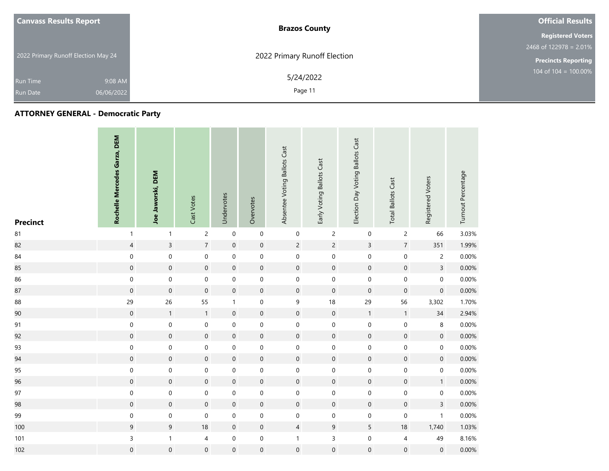| <b>Canvass Results Report</b>       | <b>Brazos County</b>         | <b>Official Results</b>    |
|-------------------------------------|------------------------------|----------------------------|
|                                     |                              | <b>Registered Voters</b>   |
|                                     |                              | 2468 of 122978 = 2.01%     |
| 2022 Primary Runoff Election May 24 | 2022 Primary Runoff Election | <b>Precincts Reporting</b> |
| 9:08 AM<br>Run Time                 | 5/24/2022                    | 104 of $104 = 100.00\%$    |
| 06/06/2022<br><b>Run Date</b>       | Page 11                      |                            |

| <b>Precinct</b> | Rochelle Mercedes Garza, DEM | Joe Jaworski, DEM   | Cast Votes          | Undervotes          | Overvotes           | Absentee Voting Ballots Cast | Early Voting Ballots Cast | Election Day Voting Ballots Cast | <b>Total Ballots Cast</b> | Registered Voters   | Turnout Percentage |
|-----------------|------------------------------|---------------------|---------------------|---------------------|---------------------|------------------------------|---------------------------|----------------------------------|---------------------------|---------------------|--------------------|
| ${\bf 81}$      | $\mathbf{1}$                 | $\mathbf{1}$        | $\overline{c}$      | $\mathsf{O}\xspace$ | $\pmb{0}$           | $\pmb{0}$                    | $\overline{c}$            | $\mathbf 0$                      | $\overline{c}$            | 66                  | 3.03%              |
| 82              | $\overline{4}$               | $\overline{3}$      | $\overline{7}$      | $\mathbf 0$         | $\mathsf{O}\xspace$ | $\overline{2}$               | $\overline{2}$            | $\overline{3}$                   | $\overline{7}$            | 351                 | 1.99%              |
| 84              | $\mathbf 0$                  | $\boldsymbol{0}$    | $\mathbf 0$         | $\mathbf 0$         | $\boldsymbol{0}$    | $\boldsymbol{0}$             | $\mathsf{O}\xspace$       | $\mathbf 0$                      | $\mathbf 0$               | $\overline{c}$      | 0.00%              |
| 85              | $\mathbf 0$                  | $\mathbf 0$         | $\mathbf 0$         | $\mathbf 0$         | $\mathsf{O}\xspace$ | $\mathsf{O}\xspace$          | $\mathbf 0$               | $\mathsf{O}\xspace$              | $\mathsf{O}\xspace$       | $\overline{3}$      | 0.00%              |
| 86              | $\mathbf 0$                  | 0                   | $\mathsf{O}\xspace$ | $\pmb{0}$           | $\mathbf 0$         | $\boldsymbol{0}$             | $\mathbf 0$               | $\mathsf{O}\xspace$              | $\boldsymbol{0}$          | $\mathsf{O}\xspace$ | 0.00%              |
| 87              | $\mathbf 0$                  | $\mathbf 0$         | $\mathbf 0$         | $\mathbf 0$         | $\pmb{0}$           | $\pmb{0}$                    | $\mathsf{O}\xspace$       | $\mathsf{O}\xspace$              | $\boldsymbol{0}$          | $\pmb{0}$           | 0.00%              |
| 88              | 29                           | 26                  | 55                  | $\mathbf{1}$        | $\boldsymbol{0}$    | 9                            | $18\,$                    | 29                               | 56                        | 3,302               | 1.70%              |
| 90              | $\boldsymbol{0}$             | $\mathbf{1}$        | $\mathbf{1}$        | $\mathbf 0$         | $\pmb{0}$           | $\pmb{0}$                    | $\mathbf 0$               | $\mathbf{1}$                     | $\mathbf{1}$              | $34\,$              | 2.94%              |
| 91              | $\mathbf 0$                  | $\boldsymbol{0}$    | $\mathbf 0$         | $\mathbf 0$         | $\boldsymbol{0}$    | $\boldsymbol{0}$             | $\mathsf{O}\xspace$       | $\mathbf 0$                      | $\boldsymbol{0}$          | 8                   | 0.00%              |
| 92              | $\mathbf 0$                  | $\mathbf 0$         | $\mathbf 0$         | $\boldsymbol{0}$    | $\pmb{0}$           | $\pmb{0}$                    | $\mathbf 0$               | $\mathsf{O}\xspace$              | $\mathsf{O}\xspace$       | $\mathbf 0$         | 0.00%              |
| 93              | $\boldsymbol{0}$             | $\mathbf 0$         | $\mathsf{O}\xspace$ | $\pmb{0}$           | $\boldsymbol{0}$    | $\boldsymbol{0}$             | $\mathsf{O}\xspace$       | $\mathsf{O}\xspace$              | $\boldsymbol{0}$          | $\mathbf 0$         | 0.00%              |
| 94              | $\mathsf{O}\xspace$          | $\boldsymbol{0}$    | $\mathbf 0$         | $\boldsymbol{0}$    | $\pmb{0}$           | $\mathsf{O}\xspace$          | $\mathsf{O}\xspace$       | $\pmb{0}$                        | $\mathsf{O}\xspace$       | $\mathbf 0$         | 0.00%              |
| 95              | 0                            | 0                   | $\mathsf{O}\xspace$ | $\mathbf 0$         | $\mathbf 0$         | $\mathbf 0$                  | $\mathbf 0$               | $\mathsf{O}\xspace$              | $\mathbf 0$               | 0                   | 0.00%              |
| 96              | $\mathbf 0$                  | $\mathbf 0$         | $\mathsf{O}\xspace$ | $\mathsf{O}\xspace$ | $\pmb{0}$           | $\mathsf{O}\xspace$          | $\mathbf 0$               | $\mathsf{O}\xspace$              | $\mathsf{O}\xspace$       | 1                   | 0.00%              |
| 97              | $\boldsymbol{0}$             | 0                   | $\mathbf 0$         | $\pmb{0}$           | $\boldsymbol{0}$    | $\boldsymbol{0}$             | $\mathbf 0$               | $\mathbf 0$                      | $\mathbf 0$               | 0                   | 0.00%              |
| 98              | $\boldsymbol{0}$             | $\boldsymbol{0}$    | $\mathbf 0$         | $\boldsymbol{0}$    | $\pmb{0}$           | $\pmb{0}$                    | $\mathbf 0$               | $\mathbf 0$                      | $\mathbf 0$               | $\overline{3}$      | 0.00%              |
| 99              | $\mathbf 0$                  | $\boldsymbol{0}$    | $\mathbf 0$         | $\mathbf 0$         | $\mathbf 0$         | $\boldsymbol{0}$             | $\mathbf 0$               | $\mathbf 0$                      | $\mathbf 0$               | $\mathbf{1}$        | 0.00%              |
| 100             | $\overline{9}$               | $9\,$               | 18                  | $\mathbf 0$         | $\pmb{0}$           | $\overline{4}$               | $\mathsf 9$               | $\overline{5}$                   | 18                        | 1,740               | 1.03%              |
| 101             | 3                            | $\mathbf{1}$        | $\overline{4}$      | $\mathbf 0$         | $\mathbf 0$         | $\mathbf{1}$                 | $\mathsf{3}$              | $\mathbf 0$                      | $\overline{4}$            | 49                  | 8.16%              |
| 102             | $\mathbf 0$                  | $\mathsf{O}\xspace$ | $\mathbf 0$         | $\mathbf 0$         | $\mathsf{O}\xspace$ | $\mathbf 0$                  | $\mathbf 0$               | $\mathbf 0$                      | $\boldsymbol{0}$          | $\boldsymbol{0}$    | 0.00%              |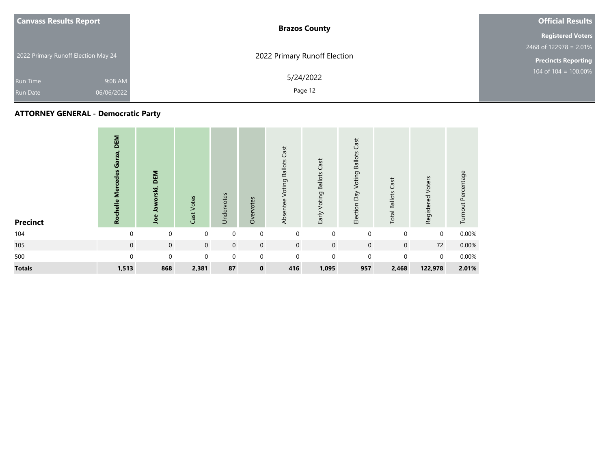|                 | <b>Canvass Results Report</b>       | <b>Brazos County</b>         | <b>Official Results</b>    |
|-----------------|-------------------------------------|------------------------------|----------------------------|
|                 |                                     |                              | <b>Registered Voters</b>   |
|                 |                                     |                              | $2468$ of 122978 = 2.01%   |
|                 | 2022 Primary Runoff Election May 24 | 2022 Primary Runoff Election | <b>Precincts Reporting</b> |
| Run Time        | 9:08 AM                             | 5/24/2022                    | $104$ of $104 = 100.00\%$  |
| <b>Run Date</b> | 06/06/2022                          | Page 12                      |                            |

| <b>Precinct</b> | DEM<br>Rochelle Mercedes Garza, | DEM<br>Jaworski,<br>Joe | Cast Votes  | Undervotes  | Overvotes    | <b>Voting Ballots Cast</b><br>Absentee | Early Voting Ballots Cast | Cast<br>Election Day Voting Ballots | <b>Total Ballots Cast</b> | Registered Voters | Turnout Percentage |
|-----------------|---------------------------------|-------------------------|-------------|-------------|--------------|----------------------------------------|---------------------------|-------------------------------------|---------------------------|-------------------|--------------------|
| 104             | $\Omega$                        | $\mathbf 0$             | $\mathbf 0$ | $\mathbf 0$ | $\mathbf 0$  | $\mathbf 0$                            | $\mathbf 0$               | $\mathbf 0$                         | $\mathbf 0$               | $\mathbf 0$       | 0.00%              |
| 105             | $\mathbf 0$                     | $\mathbf 0$             | $\mathbf 0$ | $\mathbf 0$ | $\mathbf 0$  | $\mathbf 0$                            | $\mathbf 0$               | $\mathbf 0$                         | $\mathbf 0$               | 72                | 0.00%              |
| 500             | $\Omega$                        | $\mathbf 0$             | $\mathbf 0$ | $\mathbf 0$ | $\mathbf 0$  | $\mathbf 0$                            | $\mathbf 0$               | $\mathbf 0$                         | $\mathbf 0$               | $\mathbf 0$       | 0.00%              |
| <b>Totals</b>   | 1,513                           | 868                     | 2,381       | 87          | $\mathbf{0}$ | 416                                    | 1,095                     | 957                                 | 2,468                     | 122,978           | 2.01%              |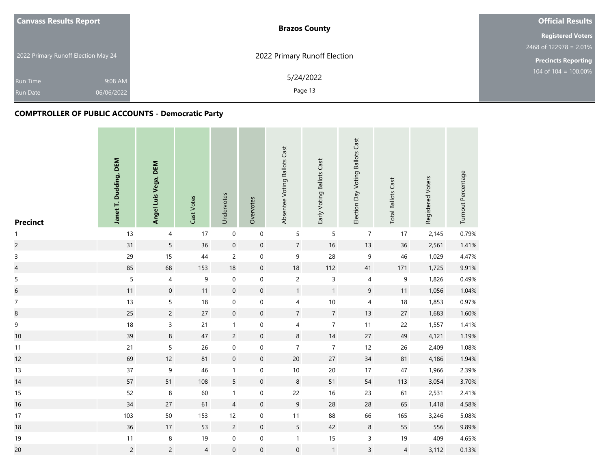| <b>Canvass Results Report</b>       | <b>Brazos County</b>         | <b>Official Results</b>    |
|-------------------------------------|------------------------------|----------------------------|
|                                     |                              | <b>Registered Voters</b>   |
|                                     |                              | $2468$ of 122978 = 2.01%   |
| 2022 Primary Runoff Election May 24 | 2022 Primary Runoff Election | <b>Precincts Reporting</b> |
| 9:08 AM<br><b>Run Time</b>          | 5/24/2022                    | 104 of $104 = 100.00\%$    |
| 06/06/2022<br><b>Run Date</b>       | Page 13                      |                            |

| <b>Precinct</b>          | Janet T. Dudding, DEM | Angel Luis Vega, DEM | Cast Votes     | Undervotes       | Overvotes           | Absentee Voting Ballots Cast | Early Voting Ballots Cast | Election Day Voting Ballots Cast | <b>Total Ballots Cast</b> | Registered Voters | Turnout Percentage |
|--------------------------|-----------------------|----------------------|----------------|------------------|---------------------|------------------------------|---------------------------|----------------------------------|---------------------------|-------------------|--------------------|
| $\mathbf{1}$             | 13                    | 4                    | 17             | $\boldsymbol{0}$ | $\mathbf 0$         | 5                            | $\sqrt{5}$                | $\overline{7}$                   | 17                        | 2,145             | 0.79%              |
| $\overline{c}$           | 31                    | $\overline{5}$       | 36             | $\mathbf 0$      | $\mathbf 0$         | $\sqrt{7}$                   | 16                        | 13                               | 36                        | 2,561             | 1.41%              |
| 3                        | 29                    | 15                   | 44             | $\overline{c}$   | $\pmb{0}$           | $\mathsf 9$                  | 28                        | 9                                | 46                        | 1,029             | 4.47%              |
| $\overline{\mathcal{L}}$ | 85                    | 68                   | 153            | 18               | $\boldsymbol{0}$    | 18                           | 112                       | 41                               | 171                       | 1,725             | 9.91%              |
| 5                        | 5                     | $\overline{4}$       | 9              | $\pmb{0}$        | $\mathbf 0$         | $\overline{c}$               | $\mathsf 3$               | $\overline{4}$                   | 9                         | 1,826             | 0.49%              |
| $\boldsymbol{6}$         | $11$                  | $\boldsymbol{0}$     | 11             | $\mathbf 0$      | $\mathbf 0$         | $\mathbf{1}$                 | $\mathbf{1}$              | $9\,$                            | $11$                      | 1,056             | 1.04%              |
| $\boldsymbol{7}$         | 13                    | 5                    | 18             | $\pmb{0}$        | $\mathbf 0$         | $\pmb{4}$                    | 10                        | 4                                | 18                        | 1,853             | 0.97%              |
| $\bf 8$                  | 25                    | $\overline{c}$       | 27             | $\mathbf 0$      | $\mathbf 0$         | $\overline{7}$               | $\overline{7}$            | 13                               | 27                        | 1,683             | 1.60%              |
| $\boldsymbol{9}$         | 18                    | 3                    | 21             | $\mathbf{1}$     | $\boldsymbol{0}$    | $\overline{4}$               | $\boldsymbol{7}$          | $11$                             | 22                        | 1,557             | 1.41%              |
| 10                       | 39                    | 8                    | $47\,$         | $\overline{c}$   | $\mathsf{O}\xspace$ | $\,$ 8 $\,$                  | 14                        | 27                               | 49                        | 4,121             | 1.19%              |
| 11                       | 21                    | 5                    | 26             | $\boldsymbol{0}$ | $\pmb{0}$           | $\overline{7}$               | $\overline{\mathcal{I}}$  | 12                               | 26                        | 2,409             | 1.08%              |
| 12                       | 69                    | 12                   | 81             | $\mathbf 0$      | $\mathbf 0$         | $20\,$                       | 27                        | 34                               | 81                        | 4,186             | 1.94%              |
| 13                       | $37\,$                | 9                    | 46             | $\mathbf{1}$     | $\mathbf 0$         | $10\,$                       | $20\,$                    | $17$                             | $47\,$                    | 1,966             | 2.39%              |
| 14                       | 57                    | 51                   | 108            | $5\overline{)}$  | $\mathbf 0$         | $\,$ 8 $\,$                  | 51                        | 54                               | 113                       | 3,054             | 3.70%              |
| 15                       | 52                    | $\,8\,$              | 60             | $\mathbf{1}$     | $\pmb{0}$           | $22\,$                       | $16$                      | 23                               | 61                        | 2,531             | 2.41%              |
| 16                       | 34                    | 27                   | 61             | $\overline{4}$   | $\boldsymbol{0}$    | $\overline{9}$               | 28                        | 28                               | 65                        | 1,418             | 4.58%              |
| 17                       | 103                   | 50                   | 153            | 12               | $\pmb{0}$           | $11$                         | 88                        | 66                               | 165                       | 3,246             | 5.08%              |
| 18                       | 36                    | 17                   | 53             | $\overline{c}$   | $\mathbf 0$         | $5\overline{)}$              | 42                        | $\,8\,$                          | 55                        | 556               | 9.89%              |
| 19                       | $11$                  | 8                    | 19             | $\boldsymbol{0}$ | $\pmb{0}$           | $\mathbf{1}$                 | 15                        | 3                                | 19                        | 409               | 4.65%              |
| 20                       | $\overline{c}$        | $\overline{c}$       | $\overline{4}$ | $\mathbf 0$      | $\boldsymbol{0}$    | $\mathbf 0$                  | $\mathbf{1}$              | $\overline{3}$                   | $\overline{4}$            | 3,112             | 0.13%              |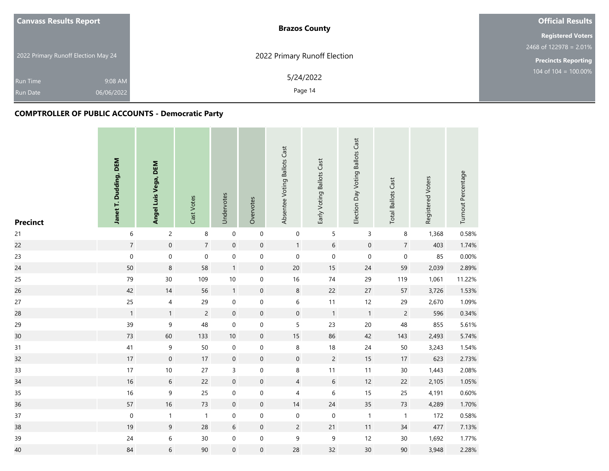| <b>Canvass Results Report</b>       | <b>Brazos County</b>         | <b>Official Results</b>    |
|-------------------------------------|------------------------------|----------------------------|
|                                     |                              | <b>Registered Voters</b>   |
|                                     |                              | $2468$ of 122978 = 2.01%   |
| 2022 Primary Runoff Election May 24 | 2022 Primary Runoff Election | <b>Precincts Reporting</b> |
| 9:08 AM<br><b>Run Time</b>          | 5/24/2022                    | 104 of $104 = 100.00\%$    |
| 06/06/2022<br><b>Run Date</b>       | Page 14                      |                            |

| <b>Precinct</b> | Janet T. Dudding, DEM | Angel Luis Vega, DEM | Cast Votes     | Undervotes          | Overvotes           | Absentee Voting Ballots Cast | Early Voting Ballots Cast | Election Day Voting Ballots Cast | <b>Total Ballots Cast</b> | Registered Voters | Turnout Percentage |
|-----------------|-----------------------|----------------------|----------------|---------------------|---------------------|------------------------------|---------------------------|----------------------------------|---------------------------|-------------------|--------------------|
| 21              | $\,$ 6 $\,$           | $\overline{c}$       | 8              | $\boldsymbol{0}$    | $\mathbf 0$         | $\boldsymbol{0}$             | $\sqrt{5}$                | 3                                | 8                         | 1,368             | 0.58%              |
| 22              | $\overline{7}$        | $\mathbf 0$          | $\overline{7}$ | $\mathbf 0$         | $\mathsf{O}\xspace$ | $\mathbf{1}$                 | $\boldsymbol{6}$          | $\mathbf 0$                      | $\overline{7}$            | 403               | 1.74%              |
| 23              | $\mathbf 0$           | $\mathbf 0$          | $\mathbf 0$    | $\boldsymbol{0}$    | $\mathbf 0$         | $\boldsymbol{0}$             | $\mathbf 0$               | $\boldsymbol{0}$                 | $\pmb{0}$                 | 85                | 0.00%              |
| 24              | 50                    | $\boldsymbol{8}$     | 58             | $\mathbf{1}$        | $\mathsf{O}\xspace$ | 20                           | 15                        | 24                               | 59                        | 2,039             | 2.89%              |
| 25              | 79                    | 30                   | 109            | 10                  | $\boldsymbol{0}$    | 16                           | $74\,$                    | 29                               | 119                       | 1,061             | 11.22%             |
| 26              | 42                    | 14                   | 56             | $\mathbf{1}$        | $\mathsf{O}\xspace$ | $\,8\,$                      | 22                        | 27                               | 57                        | 3,726             | 1.53%              |
| 27              | 25                    | $\overline{4}$       | 29             | $\pmb{0}$           | $\mathbf 0$         | $\,$ 6 $\,$                  | 11                        | 12                               | 29                        | 2,670             | 1.09%              |
| 28              | $\mathbf{1}$          | $\mathbf{1}$         | $\overline{c}$ | $\mathbf 0$         | $\boldsymbol{0}$    | $\mathsf{O}\xspace$          | $\mathbf{1}$              | $\overline{1}$                   | $\overline{c}$            | 596               | 0.34%              |
| 29              | 39                    | $\boldsymbol{9}$     | 48             | $\pmb{0}$           | $\pmb{0}$           | 5                            | 23                        | 20                               | 48                        | 855               | 5.61%              |
| 30              | 73                    | 60                   | 133            | 10                  | $\mathsf{O}\xspace$ | $15\,$                       | 86                        | 42                               | 143                       | 2,493             | 5.74%              |
| 31              | $41$                  | 9                    | 50             | $\pmb{0}$           | $\boldsymbol{0}$    | $\, 8$                       | $18$                      | 24                               | $50\,$                    | 3,243             | 1.54%              |
| 32              | 17                    | $\mathbf 0$          | 17             | $\mathsf{O}\xspace$ | $\mathsf{O}\xspace$ | $\mathbf 0$                  | $\overline{c}$            | 15                               | 17                        | 623               | 2.73%              |
| 33              | $17\,$                | $10\,$               | 27             | 3                   | $\boldsymbol{0}$    | 8                            | $11$                      | 11                               | $30\,$                    | 1,443             | 2.08%              |
| 34              | 16                    | $6\,$                | 22             | $\mathbf 0$         | $\mathsf{O}\xspace$ | $\overline{4}$               | $\sqrt{6}$                | 12                               | 22                        | 2,105             | 1.05%              |
| 35              | $16\,$                | 9                    | 25             | $\pmb{0}$           | $\mathbf 0$         | 4                            | $\,$ 6 $\,$               | 15                               | 25                        | 4,191             | 0.60%              |
| 36              | 57                    | $16\,$               | 73             | $\mathbf 0$         | $\mathsf{O}\xspace$ | 14                           | 24                        | 35                               | 73                        | 4,289             | 1.70%              |
| 37              | $\boldsymbol{0}$      | $\mathbf{1}$         | $\mathbf{1}$   | $\boldsymbol{0}$    | $\boldsymbol{0}$    | $\mathbf 0$                  | $\,0\,$                   | $\mathbf{1}$                     | $\mathbf{1}$              | 172               | 0.58%              |
| 38              | 19                    | 9                    | 28             | $\sqrt{6}$          | $\mathbf 0$         | $\overline{c}$               | 21                        | 11                               | 34                        | 477               | 7.13%              |
| 39              | 24                    | 6                    | $30\,$         | $\pmb{0}$           | $\boldsymbol{0}$    | 9                            | $\mathsf 9$               | 12                               | $30\,$                    | 1,692             | 1.77%              |
| 40              | 84                    | 6                    | 90             | $\mathbf 0$         | $\mathbf{0}$        | 28                           | 32                        | 30                               | 90                        | 3,948             | 2.28%              |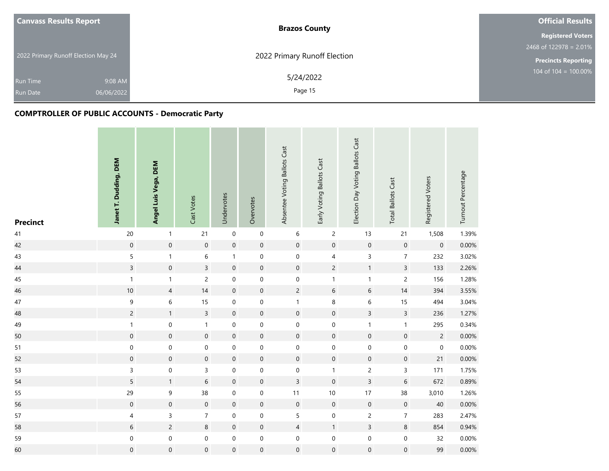| <b>Canvass Results Report</b>       | <b>Brazos County</b>         | <b>Official Results</b>    |
|-------------------------------------|------------------------------|----------------------------|
|                                     |                              | <b>Registered Voters</b>   |
|                                     |                              | $2468$ of 122978 = 2.01%   |
| 2022 Primary Runoff Election May 24 | 2022 Primary Runoff Election | <b>Precincts Reporting</b> |
| 9:08 AM<br><b>Run Time</b>          | 5/24/2022                    | 104 of $104 = 100.00\%$    |
| 06/06/2022<br><b>Run Date</b>       | Page 15                      |                            |

| <b>Precinct</b> | Janet T. Dudding, DEM | Angel Luis Vega, DEM | Cast Votes          | Undervotes          | Overvotes           | Absentee Voting Ballots Cast | Early Voting Ballots Cast | Election Day Voting Ballots Cast | <b>Total Ballots Cast</b> | Registered Voters   | Turnout Percentage |
|-----------------|-----------------------|----------------------|---------------------|---------------------|---------------------|------------------------------|---------------------------|----------------------------------|---------------------------|---------------------|--------------------|
| 41              | 20                    | $\mathbf{1}$         | 21                  | $\pmb{0}$           | $\boldsymbol{0}$    | 6                            | $\overline{2}$            | 13                               | 21                        | 1,508               | 1.39%              |
| 42              | $\mathsf{O}\xspace$   | $\mathbf 0$          | $\mathsf{O}\xspace$ | $\mathbf 0$         | $\mathbf 0$         | $\mathsf{O}\xspace$          | $\mathbf 0$               | $\mathsf{O}\xspace$              | $\mathsf{O}\xspace$       | $\mathsf{O}\xspace$ | 0.00%              |
| 43              | 5                     | $\mathbf{1}$         | 6                   | $\mathbf{1}$        | $\boldsymbol{0}$    | $\mathbf 0$                  | $\overline{\mathbf{4}}$   | 3                                | $\overline{7}$            | 232                 | 3.02%              |
| 44              | $\overline{3}$        | $\mathbf 0$          | $\overline{3}$      | $\mathbf 0$         | $\mathbf 0$         | $\mathsf{O}\xspace$          | $\overline{c}$            | $\mathbf{1}$                     | $\overline{3}$            | 133                 | 2.26%              |
| 45              | $\mathbf{1}$          | $\mathbf{1}$         | $\overline{c}$      | $\pmb{0}$           | $\mathbf 0$         | $\boldsymbol{0}$             | $\mathbf{1}$              | 1                                | $\overline{c}$            | 156                 | 1.28%              |
| 46              | $10\,$                | 4                    | 14                  | $\mathbf 0$         | $\mathbf 0$         | $\overline{c}$               | $\,$ 6 $\,$               | $6\,$                            | 14                        | 394                 | 3.55%              |
| $47\,$          | 9                     | 6                    | 15                  | $\boldsymbol{0}$    | $\mathbf 0$         | $\mathbf 1$                  | $\,8\,$                   | 6                                | 15                        | 494                 | 3.04%              |
| 48              | $\overline{c}$        | $\mathbf{1}$         | $\overline{3}$      | $\mathbf 0$         | $\mathsf{O}\xspace$ | $\mathsf{O}\xspace$          | $\mathbf 0$               | $\overline{3}$                   | $\mathsf{3}$              | 236                 | 1.27%              |
| 49              | $\mathbf{1}$          | $\boldsymbol{0}$     | $\mathbf{1}$        | $\boldsymbol{0}$    | $\mathbf 0$         | $\mathbf 0$                  | $\mathbf 0$               | $\mathbf{1}$                     | $\mathbf{1}$              | 295                 | 0.34%              |
| 50              | $\boldsymbol{0}$      | $\mathbf 0$          | $\mathsf{O}$        | $\mathsf{O}\xspace$ | $\mathsf{O}\xspace$ | $\mathbf 0$                  | $\mathsf{O}\xspace$       | $\mathbf 0$                      | $\mathsf{O}\xspace$       | $\overline{c}$      | 0.00%              |
| 51              | $\mathbf 0$           | $\mathbf 0$          | $\pmb{0}$           | $\pmb{0}$           | $\mathbf 0$         | $\mathbf 0$                  | $\mathbf 0$               | $\mathsf{O}\xspace$              | $\boldsymbol{0}$          | $\boldsymbol{0}$    | 0.00%              |
| 52              | $\mathsf{O}\xspace$   | $\mathsf{O}\xspace$  | $\pmb{0}$           | $\mathbf 0$         | $\mathbf 0$         | $\mathsf{O}\xspace$          | $\mathbf 0$               | $\mathsf{O}\xspace$              | $\mathsf{O}\xspace$       | 21                  | 0.00%              |
| 53              | 3                     | $\boldsymbol{0}$     | 3                   | $\mathbf 0$         | $\mathbf 0$         | $\mathbf 0$                  | $\mathbf{1}$              | $\overline{c}$                   | 3                         | 171                 | 1.75%              |
| 54              | 5                     | $\mathbf{1}$         | 6                   | $\mathbf 0$         | $\mathbf 0$         | $\mathsf{3}$                 | $\mathbf 0$               | $\overline{3}$                   | $6\phantom{a}$            | 672                 | 0.89%              |
| 55              | 29                    | 9                    | 38                  | $\mathbf 0$         | $\mathbf 0$         | $11$                         | $10\,$                    | 17                               | 38                        | 3,010               | 1.26%              |
| 56              | $\boldsymbol{0}$      | $\boldsymbol{0}$     | $\boldsymbol{0}$    | $\mathbf 0$         | $\boldsymbol{0}$    | $\mathsf{O}\xspace$          | $\mathbf 0$               | $\mathsf{O}\xspace$              | $\boldsymbol{0}$          | 40                  | 0.00%              |
| 57              | 4                     | 3                    | $\overline{7}$      | $\pmb{0}$           | $\boldsymbol{0}$    | 5                            | $\mathbf 0$               | $\overline{c}$                   | $\overline{7}$            | 283                 | 2.47%              |
| 58              | 6                     | $\overline{c}$       | 8                   | $\mathbf 0$         | $\mathbf 0$         | $\overline{4}$               | $\mathbf{1}$              | $\overline{3}$                   | 8                         | 854                 | 0.94%              |
| 59              | 0                     | $\boldsymbol{0}$     | $\boldsymbol{0}$    | $\pmb{0}$           | $\boldsymbol{0}$    | $\mathbf 0$                  | $\boldsymbol{0}$          | $\boldsymbol{0}$                 | 0                         | 32                  | 0.00%              |
| 60              | $\boldsymbol{0}$      | $\mathsf{O}\xspace$  | $\boldsymbol{0}$    | $\mathbf 0$         | $\mathsf{O}\xspace$ | $\mathbf 0$                  | $\mathbf 0$               | $\mathsf{O}\xspace$              | $\mathsf{O}\xspace$       | 99                  | 0.00%              |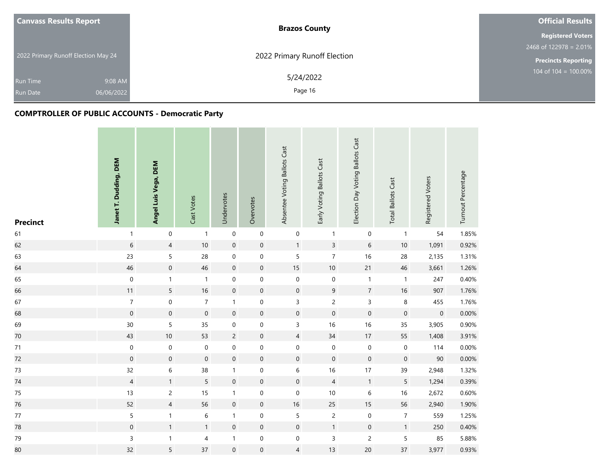| <b>Canvass Results Report</b>       | <b>Brazos County</b>         | <b>Official Results</b>    |
|-------------------------------------|------------------------------|----------------------------|
|                                     |                              | <b>Registered Voters</b>   |
|                                     |                              | $2468$ of 122978 = 2.01%   |
| 2022 Primary Runoff Election May 24 | 2022 Primary Runoff Election | <b>Precincts Reporting</b> |
| 9:08 AM<br><b>Run Time</b>          | 5/24/2022                    | 104 of $104 = 100.00\%$    |
| 06/06/2022<br><b>Run Date</b>       | Page 16                      |                            |

| <b>Precinct</b> | Janet T. Dudding, DEM | Angel Luis Vega, DEM | Cast Votes       | Undervotes       | Overvotes           | Absentee Voting Ballots Cast | Early Voting Ballots Cast | Election Day Voting Ballots Cast | <b>Total Ballots Cast</b> | Registered Voters | Turnout Percentage |
|-----------------|-----------------------|----------------------|------------------|------------------|---------------------|------------------------------|---------------------------|----------------------------------|---------------------------|-------------------|--------------------|
| 61              | $\mathbf{1}$          | $\pmb{0}$            | $\mathbf{1}$     | $\pmb{0}$        | $\mathbf 0$         | $\boldsymbol{0}$             | $\mathbf{1}$              | $\boldsymbol{0}$                 | $\mathbf{1}$              | 54                | 1.85%              |
| 62              | $\sqrt{6}$            | $\overline{4}$       | $10\,$           | $\mathbf 0$      | $\mathsf{O}\xspace$ | $\mathbf{1}$                 | $\overline{3}$            | $6\,$                            | $10\,$                    | 1,091             | 0.92%              |
| 63              | 23                    | 5                    | 28               | $\boldsymbol{0}$ | $\pmb{0}$           | $\overline{5}$               | $\boldsymbol{7}$          | 16                               | 28                        | 2,135             | 1.31%              |
| 64              | 46                    | $\mathbf 0$          | 46               | $\mathbf 0$      | $\pmb{0}$           | 15                           | 10                        | 21                               | 46                        | 3,661             | 1.26%              |
| 65              | $\pmb{0}$             | $\mathbf{1}$         | $\mathbf{1}$     | $\boldsymbol{0}$ | $\boldsymbol{0}$    | $\boldsymbol{0}$             | $\mathbf 0$               | $\mathbf{1}$                     | $\mathbf{1}$              | 247               | 0.40%              |
| 66              | 11                    | 5                    | 16               | $\mathbf 0$      | $\pmb{0}$           | $\boldsymbol{0}$             | $\mathsf 9$               | $\boldsymbol{7}$                 | $16\,$                    | 907               | 1.76%              |
| 67              | $\overline{7}$        | $\mathbf 0$          | $\overline{7}$   | $\mathbf{1}$     | $\mathbf 0$         | $\mathsf{3}$                 | $\overline{c}$            | $\mathsf{3}$                     | 8                         | 455               | 1.76%              |
| 68              | $\boldsymbol{0}$      | $\mathbf 0$          | $\mathbf 0$      | $\mathbf 0$      | $\mathbf 0$         | $\mathbf 0$                  | $\mathbf 0$               | $\mathbf 0$                      | $\boldsymbol{0}$          | $\mathbf 0$       | 0.00%              |
| 69              | $30\,$                | 5                    | 35               | $\mbox{O}$       | $\pmb{0}$           | $\mathsf{3}$                 | $16\,$                    | $16$                             | 35                        | 3,905             | 0.90%              |
| 70              | 43                    | 10                   | 53               | $\overline{c}$   | $\pmb{0}$           | $\overline{4}$               | 34                        | 17                               | 55                        | 1,408             | 3.91%              |
| $71$            | $\boldsymbol{0}$      | $\mathbf 0$          | 0                | $\mbox{O}$       | $\mathbf 0$         | $\boldsymbol{0}$             | $\boldsymbol{0}$          | $\mathbf 0$                      | 0                         | 114               | 0.00%              |
| 72              | $\boldsymbol{0}$      | $\mathsf{O}\xspace$  | $\boldsymbol{0}$ | $\mathbf 0$      | $\pmb{0}$           | $\mathsf{O}\xspace$          | $\mathbf 0$               | $\mathsf{O}\xspace$              | $\mathsf{O}\xspace$       | $90\,$            | 0.00%              |
| 73              | 32                    | 6                    | 38               | $\mathbf{1}$     | $\mathbf 0$         | 6                            | $16\,$                    | 17                               | 39                        | 2,948             | 1.32%              |
| $74\,$          | $\overline{4}$        | $\mathbf{1}$         | 5                | $\mathbf 0$      | $\pmb{0}$           | $\mathsf{O}\xspace$          | $\overline{4}$            | $\mathbf{1}$                     | 5                         | 1,294             | 0.39%              |
| 75              | 13                    | $\overline{c}$       | 15               | $\mathbf{1}$     | 0                   | $\boldsymbol{0}$             | $10$                      | $\,6\,$                          | 16                        | 2,672             | 0.60%              |
| 76              | 52                    | $\overline{4}$       | 56               | $\mathbf 0$      | $\pmb{0}$           | $16\,$                       | 25                        | 15                               | 56                        | 2,940             | 1.90%              |
| $77\,$          | 5                     | $\mathbf{1}$         | 6                | $\mathbf{1}$     | $\pmb{0}$           | $\overline{5}$               | $\overline{c}$            | $\pmb{0}$                        | $\overline{7}$            | 559               | 1.25%              |
| 78              | $\boldsymbol{0}$      | $\mathbf{1}$         | $\mathbf{1}$     | $\mathbf 0$      | $\pmb{0}$           | $\mathsf{O}\xspace$          | $\mathbf{1}$              | $\mathsf{O}\xspace$              | $\mathbf{1}$              | 250               | 0.40%              |
| 79              | $\mathsf{3}$          | $\mathbf{1}$         | 4                | $\mathbf{1}$     | $\boldsymbol{0}$    | $\boldsymbol{0}$             | 3                         | $\overline{c}$                   | 5                         | 85                | 5.88%              |
| 80              | 32                    | 5                    | 37               | $\boldsymbol{0}$ | $\mathsf{O}\xspace$ | $\overline{4}$               | 13                        | 20                               | 37                        | 3,977             | 0.93%              |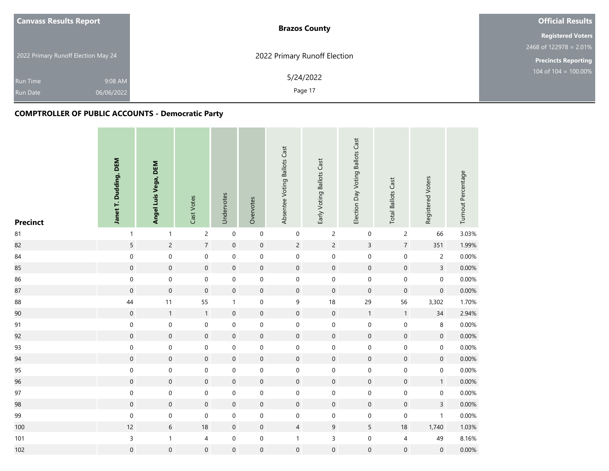| <b>Canvass Results Report</b>       | <b>Brazos County</b>         | <b>Official Results</b>    |
|-------------------------------------|------------------------------|----------------------------|
|                                     |                              | <b>Registered Voters</b>   |
|                                     |                              | 2468 of $122978 = 2.01\%$  |
| 2022 Primary Runoff Election May 24 | 2022 Primary Runoff Election | <b>Precincts Reporting</b> |
| 9:08 AM<br><b>Run Time</b>          | 5/24/2022                    | $104$ of $104 = 100.00\%$  |
| 06/06/2022<br><b>Run Date</b>       | Page 17                      |                            |

| <b>Precinct</b> | Janet T. Dudding, DEM | Angel Luis Vega, DEM | Cast Votes          | Undervotes       | Overvotes           | Absentee Voting Ballots Cast | Early Voting Ballots Cast | Election Day Voting Ballots Cast | <b>Total Ballots Cast</b> | Registered Voters   | Turnout Percentage |
|-----------------|-----------------------|----------------------|---------------------|------------------|---------------------|------------------------------|---------------------------|----------------------------------|---------------------------|---------------------|--------------------|
| ${\bf 81}$      | $\mathbf{1}$          | $\mathbf{1}$         | $\overline{c}$      | $\mathbf 0$      | $\mathsf{O}\xspace$ | $\boldsymbol{0}$             | $\sqrt{2}$                | $\boldsymbol{0}$                 | $\overline{c}$            | 66                  | 3.03%              |
| 82              | 5                     | $\overline{c}$       | $\overline{7}$      | $\mathbf 0$      | $\mathsf{O}\xspace$ | $\overline{2}$               | $\overline{c}$            | $\overline{3}$                   | $\overline{7}$            | 351                 | 1.99%              |
| $84\,$          | $\boldsymbol{0}$      | $\mathbf 0$          | $\boldsymbol{0}$    | $\boldsymbol{0}$ | $\mathbf 0$         | $\boldsymbol{0}$             | $\boldsymbol{0}$          | $\boldsymbol{0}$                 | $\mathbf 0$               | $\overline{c}$      | 0.00%              |
| 85              | $\mathbf 0$           | $\mathsf{O}\xspace$  | $\mathsf{O}\xspace$ | $\mathbf 0$      | $\pmb{0}$           | $\mathsf{O}\xspace$          | $\mathbf 0$               | $\boldsymbol{0}$                 | $\boldsymbol{0}$          | $\overline{3}$      | 0.00%              |
| 86              | $\mathbf 0$           | $\boldsymbol{0}$     | $\boldsymbol{0}$    | $\mathbf 0$      | $\boldsymbol{0}$    | $\boldsymbol{0}$             | $\mathbf 0$               | $\boldsymbol{0}$                 | $\mathbf 0$               | $\boldsymbol{0}$    | 0.00%              |
| 87              | $\boldsymbol{0}$      | $\boldsymbol{0}$     | $\mathsf{O}\xspace$ | $\mathbf 0$      | $\pmb{0}$           | $\mathsf{O}\xspace$          | $\mathbf 0$               | $\boldsymbol{0}$                 | $\boldsymbol{0}$          | $\mathsf{O}\xspace$ | 0.00%              |
| 88              | 44                    | 11                   | 55                  | $\mathbf{1}$     | $\mathbf 0$         | $\mathsf 9$                  | 18                        | 29                               | 56                        | 3,302               | 1.70%              |
| 90              | $\boldsymbol{0}$      | $\mathbf{1}$         | $\mathbf{1}$        | $\,0\,$          | $\pmb{0}$           | $\mathsf{O}\xspace$          | $\mathbf 0$               | $\mathbf{1}$                     | $\mathbf{1}$              | 34                  | 2.94%              |
| 91              | $\boldsymbol{0}$      | $\boldsymbol{0}$     | $\boldsymbol{0}$    | $\boldsymbol{0}$ | $\boldsymbol{0}$    | $\boldsymbol{0}$             | $\pmb{0}$                 | $\boldsymbol{0}$                 | $\mathbf 0$               | 8                   | 0.00%              |
| 92              | $\mathbf 0$           | $\mathbf 0$          | $\mathbf 0$         | $\mathbf 0$      | $\mathsf{O}\xspace$ | $\mathbf 0$                  | $\mathbf 0$               | $\boldsymbol{0}$                 | $\mathbf 0$               | $\mathbf 0$         | 0.00%              |
| 93              | $\mathbf 0$           | $\mathsf{O}\xspace$  | $\boldsymbol{0}$    | $\mbox{O}$       | $\mathbf 0$         | $\boldsymbol{0}$             | $\mathbf 0$               | $\boldsymbol{0}$                 | $\mathbf 0$               | 0                   | 0.00%              |
| 94              | $\mathbf 0$           | $\mathsf{O}\xspace$  | $\mathbf 0$         | $\mathbf 0$      | $\mathsf{O}\xspace$ | $\mathsf{O}\xspace$          | $\mathbf 0$               | $\boldsymbol{0}$                 | $\mathbf 0$               | $\mathbf 0$         | 0.00%              |
| 95              | 0                     | $\pmb{0}$            | 0                   | $\boldsymbol{0}$ | $\mathbf 0$         | $\boldsymbol{0}$             | $\,0\,$                   | $\boldsymbol{0}$                 | $\pmb{0}$                 | 0                   | 0.00%              |
| 96              | $\mathbf 0$           | $\mathbf 0$          | $\overline{0}$      | $\mathbf 0$      | $\mathbf 0$         | $\pmb{0}$                    | $\mathbf 0$               | $\mathbf 0$                      | $\mathbf 0$               | $\mathbf{1}$        | 0.00%              |
| 97              | $\boldsymbol{0}$      | $\boldsymbol{0}$     | $\boldsymbol{0}$    | $\boldsymbol{0}$ | $\boldsymbol{0}$    | $\boldsymbol{0}$             | $\mathbf 0$               | $\boldsymbol{0}$                 | $\boldsymbol{0}$          | 0                   | 0.00%              |
| 98              | $\boldsymbol{0}$      | $\boldsymbol{0}$     | $\mathsf{O}\xspace$ | $\mathbf 0$      | $\mathbf 0$         | $\mathsf{O}\xspace$          | $\mathbf 0$               | $\boldsymbol{0}$                 | $\boldsymbol{0}$          | $\overline{3}$      | 0.00%              |
| 99              | $\mathbf 0$           | $\mathbf 0$          | $\boldsymbol{0}$    | $\boldsymbol{0}$ | $\mathbf 0$         | $\boldsymbol{0}$             | $\boldsymbol{0}$          | 0                                | $\mathbf 0$               | $\mathbf{1}$        | 0.00%              |
| 100             | 12                    | $6\,$                | $18\,$              | $\mathbf 0$      | $\mathsf{O}\xspace$ | $\overline{4}$               | $9\,$                     | 5                                | $18\,$                    | 1,740               | 1.03%              |
| 101             | 3                     | $\mathbf{1}$         | 4                   | $\boldsymbol{0}$ | $\boldsymbol{0}$    | $\mathbf 1$                  | $\mathsf{3}$              | $\boldsymbol{0}$                 | 4                         | 49                  | 8.16%              |
| 102             | $\mathsf{O}\xspace$   | $\mathsf{O}\xspace$  | $\boldsymbol{0}$    | $\boldsymbol{0}$ | $\mathsf{O}\xspace$ | $\boldsymbol{0}$             | $\mbox{O}$                | $\boldsymbol{0}$                 | $\mathbf 0$               | $\mathsf{O}\xspace$ | 0.00%              |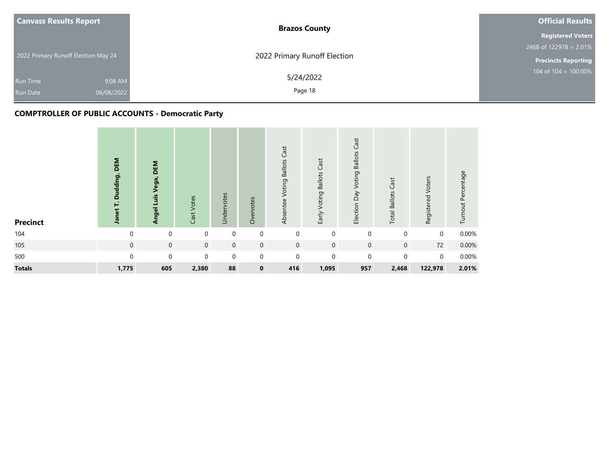| <b>Canvass Results Report</b>       | <b>Brazos County</b>         | <b>Official Results</b>    |
|-------------------------------------|------------------------------|----------------------------|
|                                     |                              | <b>Registered Voters</b>   |
|                                     |                              | 2468 of $122978 = 2.01\%$  |
| 2022 Primary Runoff Election May 24 | 2022 Primary Runoff Election | <b>Precincts Reporting</b> |
| 9:08 AM<br><b>Run Time</b>          | 5/24/2022                    | $104$ of $104 = 100.00\%$  |
| 06/06/2022<br><b>Run Date</b>       | Page 18                      |                            |

| <b>Precinct</b> | DEM<br>Dudding,<br>Janet T. | DEM<br>Angel Luis Vega, | Cast Votes  | Undervotes  | Overvotes    | Cast<br><b>Voting Ballots</b><br>Absentee | Early Voting Ballots Cast | Cast<br><b>Voting Ballots</b><br>Election Day | <b>Total Ballots Cast</b> | Registered Voters | Turnout Percentage |
|-----------------|-----------------------------|-------------------------|-------------|-------------|--------------|-------------------------------------------|---------------------------|-----------------------------------------------|---------------------------|-------------------|--------------------|
| 104             | $\Omega$                    | $\mathbf 0$             | 0           | 0           | 0            | $\mathbf{0}$                              | $\mathbf 0$               | $\mathbf 0$                                   | $\mathbf 0$               | $\mathbf 0$       | 0.00%              |
| 105             | $\mathbf 0$                 | $\mathbf 0$             | $\mathbf 0$ | $\mathbf 0$ | $\mathbf 0$  | $\mathbf{0}$                              | $\mathbf 0$               | $\mathbf 0$                                   | $\mathbf 0$               | 72                | 0.00%              |
| 500             | $\Omega$                    | $\mathbf 0$             | $\mathbf 0$ | $\mathbf 0$ | $\mathbf 0$  | $\mathbf 0$                               | $\mathbf 0$               | $\Omega$                                      | $\Omega$                  | $\mathbf 0$       | 0.00%              |
| <b>Totals</b>   | 1,775                       | 605                     | 2,380       | 88          | $\mathbf{0}$ | 416                                       | 1,095                     | 957                                           | 2,468                     | 122,978           | 2.01%              |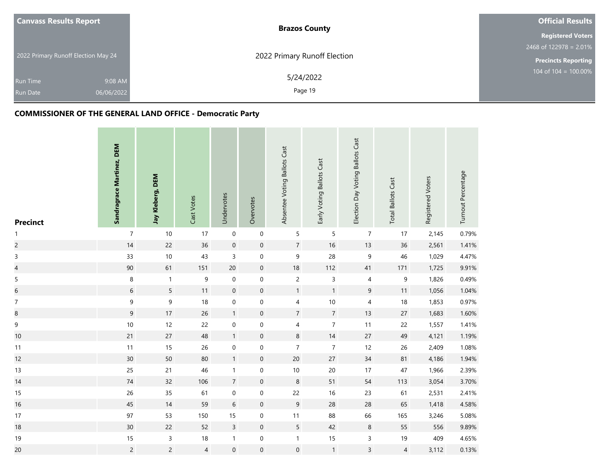| <b>Canvass Results Report</b>       | <b>Brazos County</b>         | <b>Official Results</b>    |
|-------------------------------------|------------------------------|----------------------------|
|                                     |                              | <b>Registered Voters</b>   |
|                                     |                              | $2468$ of 122978 = 2.01%   |
| 2022 Primary Runoff Election May 24 | 2022 Primary Runoff Election | <b>Precincts Reporting</b> |
| 9:08 AM<br><b>Run Time</b>          | 5/24/2022                    | 104 of $104 = 100.00\%$    |
| 06/06/2022<br><b>Run Date</b>       | Page 19                      |                            |

| <b>Precinct</b>          | Sandragrace Martinez, DEM | Jay Kleberg, DEM | Cast Votes       | Undervotes       | Overvotes        | Absentee Voting Ballots Cast | Early Voting Ballots Cast | Election Day Voting Ballots Cast | <b>Total Ballots Cast</b> | Registered Voters | Turnout Percentage |
|--------------------------|---------------------------|------------------|------------------|------------------|------------------|------------------------------|---------------------------|----------------------------------|---------------------------|-------------------|--------------------|
| $\mathbf{1}$             | $\overline{7}$            | 10               | 17               | $\mathbf 0$      | $\mathbf 0$      | 5                            | $\sqrt{5}$                | $\overline{7}$                   | 17                        | 2,145             | 0.79%              |
| $\overline{c}$           | $14$                      | 22               | 36               | $\mathbf 0$      | $\pmb{0}$        | $\overline{7}$               | $16$                      | 13                               | 36                        | 2,561             | 1.41%              |
| $\mathsf{3}$             | 33                        | 10               | 43               | $\overline{3}$   | $\boldsymbol{0}$ | 9                            | 28                        | $\mathsf 9$                      | 46                        | 1,029             | 4.47%              |
| $\overline{\mathcal{L}}$ | $90\,$                    | 61               | 151              | 20               | $\boldsymbol{0}$ | $18\,$                       | 112                       | 41                               | 171                       | 1,725             | 9.91%              |
| $\sqrt{5}$               | 8                         | $\mathbf{1}$     | $\boldsymbol{9}$ | $\pmb{0}$        | $\boldsymbol{0}$ | $\overline{c}$               | $\mathsf 3$               | 4                                | 9                         | 1,826             | 0.49%              |
| $\overline{6}$           | 6                         | 5                | 11               | $\mathbf 0$      | $\boldsymbol{0}$ | $\mathbf{1}$                 | $\mathbf{1}$              | $\boldsymbol{9}$                 | 11                        | 1,056             | 1.04%              |
| $\boldsymbol{7}$         | 9                         | $\mathsf 9$      | 18               | $\boldsymbol{0}$ | $\boldsymbol{0}$ | $\overline{\mathbf{4}}$      | $10$                      | $\sqrt{4}$                       | 18                        | 1,853             | 0.97%              |
| $\bf8$                   | $\boldsymbol{9}$          | 17               | 26               | $\mathbf{1}$     | $\boldsymbol{0}$ | $\sqrt{7}$                   | $\overline{7}$            | 13                               | 27                        | 1,683             | 1.60%              |
| $\mathsf 9$              | $10$                      | 12               | 22               | $\boldsymbol{0}$ | $\pmb{0}$        | 4                            | $\boldsymbol{7}$          | 11                               | 22                        | 1,557             | 1.41%              |
| $10$                     | 21                        | $27\,$           | 48               | $\mathbf{1}$     | $\pmb{0}$        | $\bf 8$                      | $14$                      | $27\,$                           | 49                        | 4,121             | 1.19%              |
| 11                       | 11                        | 15               | 26               | $\boldsymbol{0}$ | 0                | $\overline{7}$               | $\overline{7}$            | 12                               | 26                        | 2,409             | 1.08%              |
| 12                       | $30\,$                    | $50\,$           | 80               | $\mathbf{1}$     | $\pmb{0}$        | $20\,$                       | $27\,$                    | $34$                             | 81                        | 4,186             | 1.94%              |
| 13                       | 25                        | 21               | 46               | $\mathbf{1}$     | 0                | $10\,$                       | $20\,$                    | 17                               | 47                        | 1,966             | 2.39%              |
| 14                       | $74\,$                    | 32               | 106              | $\overline{7}$   | $\pmb{0}$        | $\,8\,$                      | 51                        | 54                               | 113                       | 3,054             | 3.70%              |
| 15                       | 26                        | 35               | 61               | $\boldsymbol{0}$ | 0                | 22                           | 16                        | 23                               | 61                        | 2,531             | 2.41%              |
| 16                       | 45                        | 14               | 59               | $\,$ 6 $\,$      | $\boldsymbol{0}$ | $\overline{9}$               | 28                        | 28                               | 65                        | 1,418             | 4.58%              |
| 17                       | 97                        | 53               | 150              | 15               | 0                | $11$                         | 88                        | 66                               | 165                       | 3,246             | 5.08%              |
| 18                       | $30\,$                    | 22               | 52               | $\overline{3}$   | $\boldsymbol{0}$ | $5\phantom{.0}$              | 42                        | $\bf 8$                          | 55                        | 556               | 9.89%              |
| 19                       | $15$                      | 3                | 18               | $\mathbf{1}$     | $\pmb{0}$        | $\mathbf{1}$                 | 15                        | $\mathsf{3}$                     | 19                        | 409               | 4.65%              |
| 20                       | $\overline{c}$            | $\overline{c}$   | 4                | $\mathbf 0$      | $\boldsymbol{0}$ | $\boldsymbol{0}$             | $\mathbf{1}$              | $\overline{3}$                   | $\overline{4}$            | 3,112             | 0.13%              |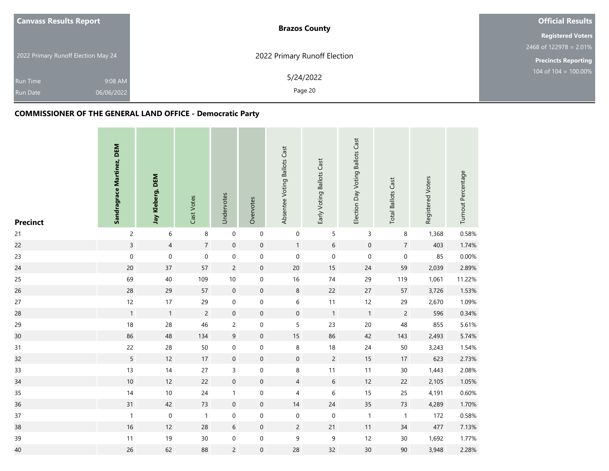| <b>Canvass Results Report</b>       | <b>Brazos County</b>         | <b>Official Results</b>    |
|-------------------------------------|------------------------------|----------------------------|
|                                     |                              | <b>Registered Voters</b>   |
|                                     |                              | $2468$ of 122978 = 2.01%   |
| 2022 Primary Runoff Election May 24 | 2022 Primary Runoff Election | <b>Precincts Reporting</b> |
| 9:08 AM<br><b>Run Time</b>          | 5/24/2022                    | 104 of $104 = 100.00\%$    |
| 06/06/2022<br><b>Run Date</b>       | Page 20                      |                            |

| <b>Precinct</b> | Sandragrace Martinez, DEM | Jay Kleberg, DEM | Cast Votes       | Undervotes          | Overvotes        | Absentee Voting Ballots Cast | Early Voting Ballots Cast | Election Day Voting Ballots Cast | <b>Total Ballots Cast</b> | Registered Voters | Turnout Percentage |
|-----------------|---------------------------|------------------|------------------|---------------------|------------------|------------------------------|---------------------------|----------------------------------|---------------------------|-------------------|--------------------|
| 21              | $\overline{c}$            | $\,$ 6 $\,$      | 8                | $\boldsymbol{0}$    | $\mathbf 0$      | $\mathbf 0$                  | $\mathsf S$               | $\mathsf 3$                      | 8                         | 1,368             | 0.58%              |
| 22              | $\overline{3}$            | $\overline{4}$   | $\sqrt{7}$       | $\boldsymbol{0}$    | $\pmb{0}$        | $\mathbf{1}$                 | $\,$ 6 $\,$               | $\mathbf 0$                      | $\overline{7}$            | 403               | 1.74%              |
| 23              | $\mathbf 0$               | $\pmb{0}$        | $\boldsymbol{0}$ | $\boldsymbol{0}$    | $\boldsymbol{0}$ | $\boldsymbol{0}$             | $\mathsf{O}\xspace$       | $\mathsf{O}\xspace$              | $\boldsymbol{0}$          | 85                | 0.00%              |
| 24              | $20\,$                    | 37               | 57               | $\overline{c}$      | $\boldsymbol{0}$ | $20\,$                       | 15                        | 24                               | 59                        | 2,039             | 2.89%              |
| 25              | 69                        | 40               | 109              | $10$                | $\boldsymbol{0}$ | 16                           | 74                        | 29                               | 119                       | 1,061             | 11.22%             |
| 26              | 28                        | 29               | 57               | $\mathbf 0$         | $\boldsymbol{0}$ | $\,8\,$                      | 22                        | $27\,$                           | 57                        | 3,726             | 1.53%              |
| 27              | 12                        | 17               | 29               | $\boldsymbol{0}$    | $\boldsymbol{0}$ | $\,$ 6 $\,$                  | 11                        | 12                               | 29                        | 2,670             | 1.09%              |
| 28              | $\mathbf{1}$              | $\mathbf{1}$     | $\overline{c}$   | $\boldsymbol{0}$    | $\boldsymbol{0}$ | $\boldsymbol{0}$             | $\mathbf{1}$              | $\overline{1}$                   | $\overline{c}$            | 596               | 0.34%              |
| 29              | 18                        | 28               | 46               | $\overline{c}$      | 0                | 5                            | 23                        | 20                               | 48                        | 855               | 5.61%              |
| 30              | 86                        | 48               | 134              | $\mathsf 9$         | $\pmb{0}$        | $15\,$                       | 86                        | 42                               | 143                       | 2,493             | 5.74%              |
| 31              | 22                        | 28               | 50               | $\mathbf 0$         | 0                | 8                            | 18                        | 24                               | 50                        | 3,243             | 1.54%              |
| 32              | 5                         | 12               | 17               | $\mathsf{O}\xspace$ | $\pmb{0}$        | $\boldsymbol{0}$             | $\overline{c}$            | 15                               | 17                        | 623               | 2.73%              |
| 33              | 13                        | 14               | 27               | 3                   | $\mathbf 0$      | 8                            | 11                        | 11                               | 30                        | 1,443             | 2.08%              |
| 34              | $10$                      | 12               | 22               | $\mathbf 0$         | $\boldsymbol{0}$ | $\overline{4}$               | $\sqrt{6}$                | 12                               | 22                        | 2,105             | 1.05%              |
| 35              | 14                        | $10$             | 24               | $\mathbf{1}$        | 0                | 4                            | 6                         | 15                               | 25                        | 4,191             | 0.60%              |
| 36              | 31                        | 42               | 73               | $\boldsymbol{0}$    | $\boldsymbol{0}$ | 14                           | 24                        | 35                               | 73                        | 4,289             | 1.70%              |
| 37              | $\mathbf{1}$              | $\mathbf 0$      | $\mathbf{1}$     | $\mathbf 0$         | 0                | $\boldsymbol{0}$             | $\mathbf 0$               | $\mathbf{1}$                     | $\mathbf{1}$              | 172               | 0.58%              |
| 38              | 16                        | 12               | 28               | $\sqrt{6}$          | $\boldsymbol{0}$ | $\overline{c}$               | 21                        | 11                               | 34                        | 477               | 7.13%              |
| 39              | 11                        | 19               | 30               | $\boldsymbol{0}$    | $\boldsymbol{0}$ | 9                            | $\mathsf 9$               | 12                               | 30                        | 1,692             | 1.77%              |
| 40              | 26                        | 62               | 88               | $\mathsf{2}\,$      | $\boldsymbol{0}$ | 28                           | 32                        | 30                               | 90                        | 3,948             | 2.28%              |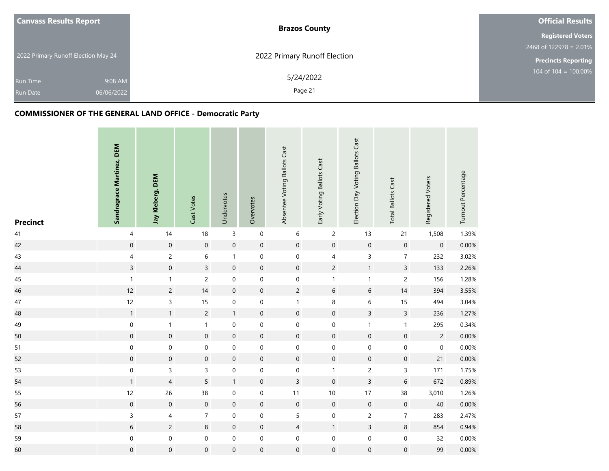| <b>Canvass Results Report</b>       | <b>Brazos County</b>         | <b>Official Results</b>    |
|-------------------------------------|------------------------------|----------------------------|
|                                     |                              | <b>Registered Voters</b>   |
|                                     |                              | $2468$ of 122978 = 2.01%   |
| 2022 Primary Runoff Election May 24 | 2022 Primary Runoff Election | <b>Precincts Reporting</b> |
| 9:08 AM<br><b>Run Time</b>          | 5/24/2022                    | 104 of $104 = 100.00\%$    |
| 06/06/2022<br><b>Run Date</b>       | Page 21                      |                            |

| <b>Precinct</b> | Sandragrace Martinez, DEM | Jay Kleberg, DEM    | Cast Votes          | Undervotes       | Overvotes           | Absentee Voting Ballots Cast | Early Voting Ballots Cast | Election Day Voting Ballots Cast | <b>Total Ballots Cast</b> | Registered Voters | Turnout Percentage |
|-----------------|---------------------------|---------------------|---------------------|------------------|---------------------|------------------------------|---------------------------|----------------------------------|---------------------------|-------------------|--------------------|
| 41              | $\pmb{4}$                 | 14                  | 18                  | $\mathsf 3$      | $\mathbf 0$         | $\,$ 6 $\,$                  | $\overline{c}$            | 13                               | 21                        | 1,508             | 1.39%              |
| 42              | $\boldsymbol{0}$          | $\mathsf{O}\xspace$ | $\mathbf 0$         | $\mathbf 0$      | $\pmb{0}$           | $\mathbf 0$                  | $\mathbf 0$               | $\mathsf{O}\xspace$              | $\boldsymbol{0}$          | $\mathbf 0$       | 0.00%              |
| 43              | $\overline{\mathcal{A}}$  | $\overline{c}$      | 6                   | $\mathbf{1}$     | $\mathbf 0$         | $\mathbf 0$                  | $\sqrt{4}$                | $\mathsf{3}$                     | $\overline{7}$            | 232               | 3.02%              |
| 44              | $\overline{3}$            | $\mathbf 0$         | $\overline{3}$      | $\mathbf 0$      | $\mathbf 0$         | $\boldsymbol{0}$             | $\overline{c}$            | $\mathbf{1}$                     | $\overline{3}$            | 133               | 2.26%              |
| 45              | $\mathbf{1}$              | $\mathbf{1}$        | $\overline{c}$      | $\boldsymbol{0}$ | $\mathbf 0$         | $\mathbf 0$                  | $\mathbf{1}$              | $\mathbf{1}$                     | $\overline{c}$            | 156               | 1.28%              |
| 46              | 12                        | $\overline{c}$      | 14                  | $\mathbf 0$      | $\boldsymbol{0}$    | $\overline{c}$               | $\sqrt{6}$                | $6\,$                            | $14$                      | 394               | 3.55%              |
| 47              | 12                        | $\overline{3}$      | 15                  | $\boldsymbol{0}$ | $\mathbf 0$         | $\mathbf{1}$                 | $\,8\,$                   | $\,$ 6 $\,$                      | 15                        | 494               | 3.04%              |
| 48              | $\mathbf{1}$              | $\mathbf{1}$        | $\overline{c}$      | $\mathbf{1}$     | $\boldsymbol{0}$    | $\mathbf 0$                  | $\mathbf 0$               | $\overline{3}$                   | $\overline{3}$            | 236               | 1.27%              |
| 49              | $\boldsymbol{0}$          | $\mathbf{1}$        | $\mathbf{1}$        | $\boldsymbol{0}$ | $\boldsymbol{0}$    | $\mathbf 0$                  | $\pmb{0}$                 | $\mathbf{1}$                     | $\mathbf{1}$              | 295               | 0.34%              |
| 50              | $\mathbf 0$               | $\mathsf{O}\xspace$ | $\mathsf{O}\xspace$ | $\mathbf 0$      | $\mathsf{O}\xspace$ | $\mathbf 0$                  | $\mathbf 0$               | $\pmb{0}$                        | $\pmb{0}$                 | $\overline{2}$    | 0.00%              |
| 51              | $\boldsymbol{0}$          | $\mathbf 0$         | $\boldsymbol{0}$    | $\boldsymbol{0}$ | $\mathbf 0$         | $\mathbf 0$                  | $\mathbf 0$               | $\mathsf{O}\xspace$              | $\boldsymbol{0}$          | $\mathbf 0$       | 0.00%              |
| 52              | $\mathsf{O}\xspace$       | $\mathsf{O}\xspace$ | $\overline{0}$      | $\mathbf 0$      | $\mathbf 0$         | $\mathbf 0$                  | $\mathbf 0$               | $\pmb{0}$                        | $\mathbf 0$               | 21                | 0.00%              |
| 53              | $\mathbf 0$               | 3                   | 3                   | $\boldsymbol{0}$ | $\boldsymbol{0}$    | $\boldsymbol{0}$             | $\mathbf{1}$              | $\overline{c}$                   | 3                         | 171               | 1.75%              |
| 54              | $\mathbf{1}$              | $\overline{4}$      | 5                   | $\mathbf{1}$     | $\boldsymbol{0}$    | $\overline{3}$               | $\mathbf 0$               | $\overline{3}$                   | 6                         | 672               | 0.89%              |
| 55              | 12                        | 26                  | 38                  | $\boldsymbol{0}$ | $\mathbf 0$         | $11$                         | $10$                      | 17                               | 38                        | 3,010             | 1.26%              |
| 56              | $\boldsymbol{0}$          | $\mathbf 0$         | $\mathbf 0$         | $\boldsymbol{0}$ | $\boldsymbol{0}$    | $\mathbf 0$                  | $\mathbf 0$               | $\mathsf{O}\xspace$              | $\boldsymbol{0}$          | 40                | 0.00%              |
| 57              | 3                         | $\overline{4}$      | $\overline{7}$      | $\mathbf 0$      | $\mathbf 0$         | 5                            | $\mathbf 0$               | $\overline{2}$                   | $\overline{7}$            | 283               | 2.47%              |
| 58              | 6                         | $\overline{c}$      | 8                   | $\boldsymbol{0}$ | $\pmb{0}$           | $\overline{4}$               | $\mathbf{1}$              | $\mathbf{3}$                     | 8                         | 854               | 0.94%              |
| 59              | 0                         | $\mathbf 0$         | 0                   | $\boldsymbol{0}$ | $\boldsymbol{0}$    | $\boldsymbol{0}$             | $\mathbf 0$               | $\boldsymbol{0}$                 | 0                         | 32                | 0.00%              |
| 60              | $\overline{0}$            | $\mathsf{O}\xspace$ | $\mathbf 0$         | $\mathbf 0$      | $\mathbf 0$         | $\mathbf 0$                  | $\mathbf 0$               | $\mathbf 0$                      | 0                         | 99                | 0.00%              |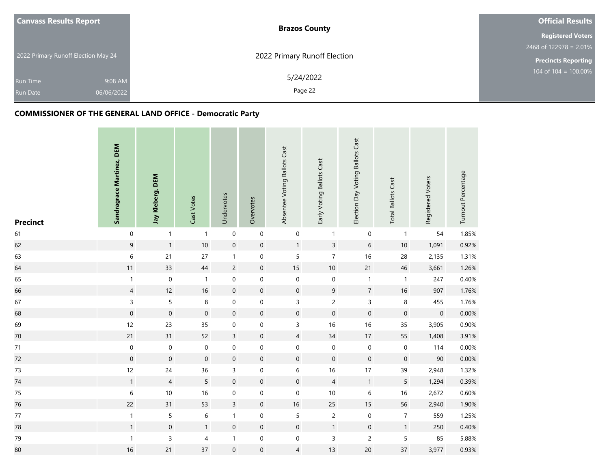| <b>Canvass Results Report</b>       | <b>Brazos County</b>         | <b>Official Results</b>    |
|-------------------------------------|------------------------------|----------------------------|
|                                     |                              | <b>Registered Voters</b>   |
|                                     |                              | $2468$ of 122978 = 2.01%   |
| 2022 Primary Runoff Election May 24 | 2022 Primary Runoff Election | <b>Precincts Reporting</b> |
| 9:08 AM<br><b>Run Time</b>          | 5/24/2022                    | 104 of $104 = 100.00\%$    |
| 06/06/2022<br><b>Run Date</b>       | Page 22                      |                            |

| <b>Precinct</b> | Sandragrace Martinez, DEM | Jay Kleberg, DEM | Cast Votes          | Undervotes          | Overvotes           | Absentee Voting Ballots Cast | Early Voting Ballots Cast | Election Day Voting Ballots Cast | <b>Total Ballots Cast</b> | Registered Voters | Turnout Percentage |
|-----------------|---------------------------|------------------|---------------------|---------------------|---------------------|------------------------------|---------------------------|----------------------------------|---------------------------|-------------------|--------------------|
| 61              | $\pmb{0}$                 | $\mathbf{1}$     | $\mathbf{1}$        | $\pmb{0}$           | $\mathbf 0$         | $\boldsymbol{0}$             | $\mathbf{1}$              | $\boldsymbol{0}$                 | $\mathbf{1}$              | 54                | 1.85%              |
| 62              | $\mathsf 9$               | $\mathbf{1}$     | 10                  | $\mathbf 0$         | $\mathsf{O}\xspace$ | $\mathbf{1}$                 | $\overline{3}$            | $6\,$                            | $10\,$                    | 1,091             | 0.92%              |
| 63              | $\,$ 6 $\,$               | 21               | 27                  | $\mathbf{1}$        | $\mathbf 0$         | 5                            | $\overline{7}$            | 16                               | 28                        | 2,135             | 1.31%              |
| 64              | 11                        | 33               | 44                  | $\sqrt{2}$          | $\boldsymbol{0}$    | 15                           | $10$                      | 21                               | 46                        | 3,661             | 1.26%              |
| 65              | 1                         | $\mathbf 0$      | $\mathbf{1}$        | $\mathbf 0$         | $\mathbf 0$         | $\mathbf 0$                  | $\mbox{O}$                | $\mathbf{1}$                     | $\mathbf{1}$              | 247               | 0.40%              |
| 66              | $\overline{4}$            | 12               | 16                  | $\mathbf 0$         | $\mathsf{O}\xspace$ | $\mathbf 0$                  | $\boldsymbol{9}$          | $\boldsymbol{7}$                 | $16\,$                    | 907               | 1.76%              |
| 67              | 3                         | 5                | 8                   | $\pmb{0}$           | $\mathbf 0$         | $\mathsf{3}$                 | $\overline{c}$            | 3                                | 8                         | 455               | 1.76%              |
| 68              | $\boldsymbol{0}$          | $\mathbf 0$      | $\boldsymbol{0}$    | $\mathbf 0$         | $\boldsymbol{0}$    | $\mathbf 0$                  | $\mathbf 0$               | $\mathbf 0$                      | $\mathbf 0$               | $\mathbf 0$       | 0.00%              |
| 69              | 12                        | 23               | 35                  | $\mathbf 0$         | $\boldsymbol{0}$    | 3                            | 16                        | 16                               | 35                        | 3,905             | 0.90%              |
| $70\,$          | 21                        | 31               | 52                  | $\overline{3}$      | $\mathsf{O}\xspace$ | $\overline{4}$               | $34$                      | 17                               | 55                        | 1,408             | 3.91%              |
| $71$            | $\mathbf 0$               | $\boldsymbol{0}$ | $\pmb{0}$           | $\mathbf 0$         | $\boldsymbol{0}$    | $\boldsymbol{0}$             | $\pmb{0}$                 | $\mathbf 0$                      | $\mathbf 0$               | 114               | 0.00%              |
| 72              | $\boldsymbol{0}$          | $\mathbf 0$      | $\mathsf{O}\xspace$ | $\mathsf{O}\xspace$ | $\mathsf{O}\xspace$ | $\mathsf{O}\xspace$          | $\mathbf 0$               | $\mathsf{O}\xspace$              | $\mathbf 0$               | $90\,$            | 0.00%              |
| 73              | 12                        | 24               | 36                  | 3                   | $\boldsymbol{0}$    | 6                            | 16                        | 17                               | 39                        | 2,948             | 1.32%              |
| $74\,$          | $\mathbf{1}$              | $\overline{4}$   | 5                   | $\mathbf 0$         | $\mathsf{O}\xspace$ | $\mathsf{O}\xspace$          | $\overline{4}$            | $\mathbf{1}$                     | 5                         | 1,294             | 0.39%              |
| 75              | $\,$ 6 $\,$               | $10\,$           | 16                  | $\mathbf 0$         | $\boldsymbol{0}$    | $\mathbf 0$                  | $10$                      | $\,6\,$                          | 16                        | 2,672             | 0.60%              |
| 76              | 22                        | 31               | 53                  | $\overline{3}$      | $\boldsymbol{0}$    | $16$                         | 25                        | 15                               | 56                        | 2,940             | 1.90%              |
| $77\,$          | $\mathbf{1}$              | 5                | 6                   | $\mathbf{1}$        | $\boldsymbol{0}$    | 5                            | $\overline{c}$            | $\mathsf{O}\xspace$              | $\overline{7}$            | 559               | 1.25%              |
| 78              | $\mathbf{1}$              | $\boldsymbol{0}$ | 1                   | $\mathbf 0$         | $\mathsf{O}\xspace$ | $\mathsf{O}\xspace$          | $\mathbf{1}$              | $\mathbf 0$                      | $\mathbf{1}$              | 250               | 0.40%              |
| 79              | $\mathbf{1}$              | 3                | 4                   | $\mathbf{1}$        | $\boldsymbol{0}$    | $\mathbf 0$                  | $\mathsf 3$               | $\overline{2}$                   | 5                         | 85                | 5.88%              |
| 80              | 16                        | 21               | 37                  | $\mathbf 0$         | $\mathsf{O}\xspace$ | $\overline{4}$               | 13                        | 20                               | 37                        | 3,977             | 0.93%              |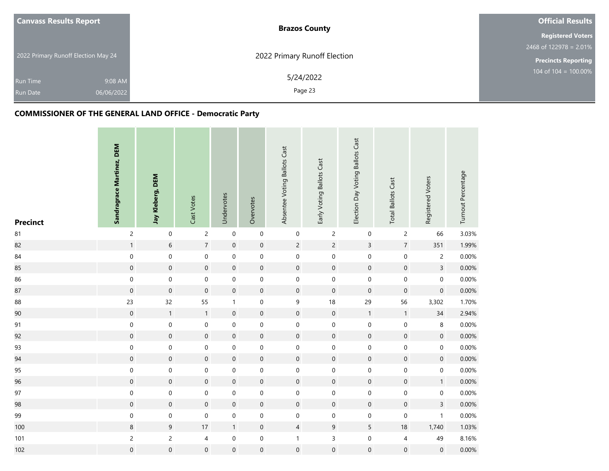| <b>Canvass Results Report</b>       | <b>Brazos County</b>         | <b>Official Results</b>    |
|-------------------------------------|------------------------------|----------------------------|
|                                     |                              | <b>Registered Voters</b>   |
|                                     |                              | $2468$ of 122978 = 2.01%   |
| 2022 Primary Runoff Election May 24 | 2022 Primary Runoff Election | <b>Precincts Reporting</b> |
| 9:08 AM<br><b>Run Time</b>          | 5/24/2022                    | 104 of $104 = 100.00\%$    |
| 06/06/2022<br><b>Run Date</b>       | Page 23                      |                            |

| <b>Precinct</b> | Sandragrace Martinez, DEM | Jay Kleberg, DEM    | Cast Votes       | Undervotes          | Overvotes           | Absentee Voting Ballots Cast | Early Voting Ballots Cast | Election Day Voting Ballots Cast | <b>Total Ballots Cast</b> | Registered Voters   | Turnout Percentage |
|-----------------|---------------------------|---------------------|------------------|---------------------|---------------------|------------------------------|---------------------------|----------------------------------|---------------------------|---------------------|--------------------|
| 81              | $\overline{c}$            | $\boldsymbol{0}$    | $\overline{c}$   | $\mathbf 0$         | $\mathbf 0$         | $\boldsymbol{0}$             | $\overline{c}$            | $\mathsf{O}\xspace$              | $\overline{c}$            | 66                  | 3.03%              |
| 82              | 1                         | $6\phantom{a}$      | $\overline{7}$   | $\mathsf{O}\xspace$ | $\mathsf{O}\xspace$ | $\overline{2}$               | $\overline{c}$            | $\overline{3}$                   | $\overline{7}$            | 351                 | 1.99%              |
| 84              | $\boldsymbol{0}$          | $\boldsymbol{0}$    | $\pmb{0}$        | $\pmb{0}$           | $\mathbf 0$         | $\mathbf 0$                  | $\pmb{0}$                 | $\mathsf{O}\xspace$              | $\mathsf{O}\xspace$       | $\overline{c}$      | 0.00%              |
| 85              | $\mathsf{O}\xspace$       | $\boldsymbol{0}$    | $\boldsymbol{0}$ | $\mathbf 0$         | $\mathsf{O}\xspace$ | $\mathbf 0$                  | $\mathbf 0$               | $\pmb{0}$                        | $\boldsymbol{0}$          | $\overline{3}$      | 0.00%              |
| 86              | $\mathbf 0$               | $\boldsymbol{0}$    | $\mathbf 0$      | $\mathbf 0$         | $\mathbf 0$         | $\boldsymbol{0}$             | $\mathbf 0$               | $\mathbf 0$                      | $\mathbf 0$               | $\mathbf 0$         | 0.00%              |
| 87              | $\boldsymbol{0}$          | $\mathbf 0$         | $\boldsymbol{0}$ | $\mathbf 0$         | $\mathbf 0$         | $\mathbf 0$                  | $\mathbf 0$               | $\mathsf{O}\xspace$              | $\boldsymbol{0}$          | $\boldsymbol{0}$    | 0.00%              |
| 88              | 23                        | 32                  | 55               | $\mathbf{1}$        | $\mathbf 0$         | $\boldsymbol{9}$             | 18                        | 29                               | 56                        | 3,302               | 1.70%              |
| 90              | $\boldsymbol{0}$          | $\mathbf{1}$        | $\mathbf{1}$     | $\mathbf 0$         | $\mathbf 0$         | $\mathbf 0$                  | $\mathbf 0$               | $\mathbf{1}$                     | $\mathbf{1}$              | 34                  | 2.94%              |
| 91              | $\mathsf{O}\xspace$       | $\boldsymbol{0}$    | $\mathbf 0$      | $\boldsymbol{0}$    | $\boldsymbol{0}$    | $\mathbf 0$                  | $\mathbf 0$               | $\mathbf 0$                      | $\mathbf 0$               | 8                   | 0.00%              |
| 92              | $\mathsf{O}\xspace$       | $\boldsymbol{0}$    | $\mathbf 0$      | $\mathbf 0$         | $\mathbf 0$         | $\mathsf{O}\xspace$          | $\mathbf 0$               | $\mathsf{O}\xspace$              | $\boldsymbol{0}$          | $\mathbf 0$         | 0.00%              |
| 93              | $\boldsymbol{0}$          | $\boldsymbol{0}$    | $\boldsymbol{0}$ | $\mathbf 0$         | $\boldsymbol{0}$    | $\mathbf 0$                  | $\mathbf 0$               | $\mathsf{O}\xspace$              | $\mathbf 0$               | 0                   | 0.00%              |
| 94              | $\mathbf 0$               | $\mathbf 0$         | $\mathbf 0$      | $\mathsf{O}\xspace$ | $\mathsf{O}\xspace$ | $\overline{0}$               | $\mathbf 0$               | $\pmb{0}$                        | $\mathbf 0$               | $\mathbf 0$         | 0.00%              |
| 95              | $\mathbf 0$               | $\boldsymbol{0}$    | $\mathbf 0$      | $\mathbf 0$         | $\boldsymbol{0}$    | $\mathbf 0$                  | $\mathbf 0$               | $\mathbf 0$                      | $\pmb{0}$                 | $\mathbf 0$         | 0.00%              |
| 96              | $\mathsf{O}\xspace$       | $\mathbf 0$         | $\mathbf 0$      | $\mathbf 0$         | $\mathsf{O}\xspace$ | $\mathbf 0$                  | $\mathbf 0$               | $\mathsf{O}\xspace$              | $\boldsymbol{0}$          | $\mathbf{1}$        | 0.00%              |
| 97              | $\mathsf{O}\xspace$       | $\mathsf{O}\xspace$ | $\boldsymbol{0}$ | $\mathbf 0$         | $\boldsymbol{0}$    | $\boldsymbol{0}$             | $\mathbf 0$               | $\mathbf 0$                      | $\mathsf{O}\xspace$       | $\mathsf{O}\xspace$ | 0.00%              |
| 98              | $\boldsymbol{0}$          | $\boldsymbol{0}$    | $\boldsymbol{0}$ | $\mathbf 0$         | $\mathbf 0$         | $\mathbf 0$                  | $\mathbf 0$               | $\pmb{0}$                        | $\boldsymbol{0}$          | $\mathbf{3}$        | 0.00%              |
| 99              | $\boldsymbol{0}$          | $\boldsymbol{0}$    | $\boldsymbol{0}$ | $\pmb{0}$           | $\mathbf 0$         | $\mathbf 0$                  | $\mathbf 0$               | $\mathbf 0$                      | $\mathbf 0$               | $\mathbf{1}$        | 0.00%              |
| 100             | 8                         | 9                   | 17               | $\mathbf{1}$        | $\mathbf 0$         | $\overline{4}$               | $\boldsymbol{9}$          | 5                                | 18                        | 1,740               | 1.03%              |
| 101             | $\overline{c}$            | $\overline{c}$      | 4                | $\pmb{0}$           | $\boldsymbol{0}$    | $\mathbf{1}$                 | $\mathsf{3}$              | $\mathsf{O}\xspace$              | 4                         | 49                  | 8.16%              |
| 102             | $\mathbf 0$               | $\mathsf{O}\xspace$ | $\boldsymbol{0}$ | $\mathsf{O}\xspace$ | $\mathsf{O}\xspace$ | $\boldsymbol{0}$             | $\mathsf{O}\xspace$       | $\mathbf 0$                      | $\mathbf 0$               | $\mathsf{O}\xspace$ | 0.00%              |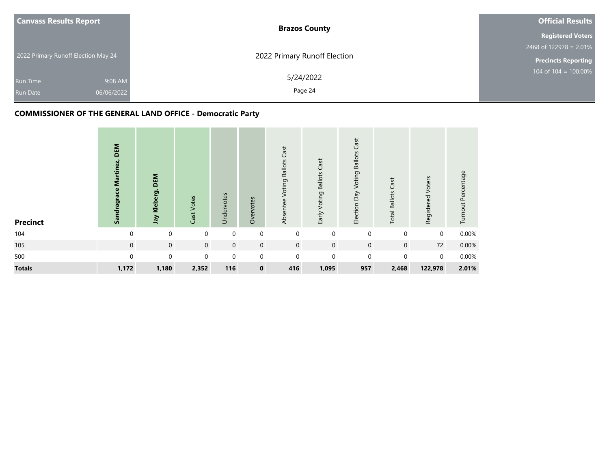| <b>Canvass Results Report</b>                               | <b>Brazos County</b>         | <b>Official Results</b>    |
|-------------------------------------------------------------|------------------------------|----------------------------|
|                                                             |                              | <b>Registered Voters</b>   |
|                                                             |                              | $2468$ of 122978 = 2.01%   |
| 2022 Primary Runoff Election May 24                         | 2022 Primary Runoff Election | <b>Precincts Reporting</b> |
| 9:08 AM<br><b>Run Time</b><br>06/06/2022<br><b>Run Date</b> | 5/24/2022<br>Page 24         | 104 of $104 = 100.00\%$    |

| <b>Precinct</b> | DEM<br>Sandragrace Martinez, | DEM<br>Jay Kleberg, | Cast Votes  | Undervotes  | Overvotes    | Cast<br>Voting Ballots<br>Absentee | Early Voting Ballots Cast | Cast<br><b>Ballots</b><br>Voting<br>Election Day | Cast<br><b>Total Ballots</b> | Registered Voters | Turnout Percentage |
|-----------------|------------------------------|---------------------|-------------|-------------|--------------|------------------------------------|---------------------------|--------------------------------------------------|------------------------------|-------------------|--------------------|
| 104             | $\Omega$                     | $\mathbf 0$         | 0           | $\mathbf 0$ | $\mathbf 0$  | $\mathbf{0}$                       | $\mathbf 0$               | $\mathbf 0$                                      | $\mathbf 0$                  | $\mathbf 0$       | 0.00%              |
| 105             | $\mathbf 0$                  | $\mathbf 0$         | $\mathbf 0$ | $\mathbf 0$ | $\mathbf{0}$ | $\overline{0}$                     | $\mathbf 0$               | $\mathbf 0$                                      | $\mathbf 0$                  | 72                | 0.00%              |
| 500             | $\Omega$                     | $\mathbf 0$         | 0           | $\mathbf 0$ | $\mathbf 0$  | $\Omega$                           | $\mathbf 0$               | $\Omega$                                         | $\mathbf 0$                  | $\mathbf 0$       | 0.00%              |
| <b>Totals</b>   | 1,172                        | 1,180               | 2,352       | 116         | $\mathbf 0$  | 416                                | 1,095                     | 957                                              | 2,468                        | 122,978           | 2.01%              |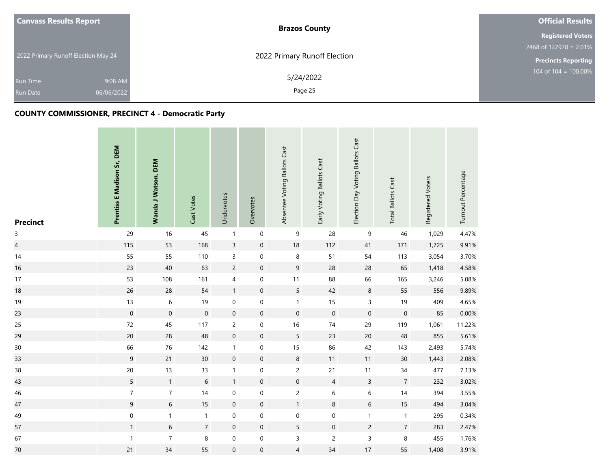| <b>Canvass Results Report</b>       | <b>Brazos County</b>         | <b>Official Results</b>    |
|-------------------------------------|------------------------------|----------------------------|
|                                     |                              | <b>Registered Voters</b>   |
|                                     |                              | 2468 of $122978 = 2.01\%$  |
| 2022 Primary Runoff Election May 24 | 2022 Primary Runoff Election | <b>Precincts Reporting</b> |
| 9:08 AM<br><b>Run Time</b>          | 5/24/2022                    | $104$ of $104 = 100.00\%$  |
| 06/06/2022<br><b>Run Date</b>       | Page 25                      |                            |

# **COUNTY COMMISSIONER, PRECINCT 4 - Democratic Party**

| <b>Precinct</b> | Prentiss E Madison Sr, DEM | Wanda J Watson, DEM | Cast Votes     | Undervotes       | Overvotes        | Absentee Voting Ballots Cast | Early Voting Ballots Cast | Election Day Voting Ballots Cast | <b>Total Ballots Cast</b> | Registered Voters | Turnout Percentage |
|-----------------|----------------------------|---------------------|----------------|------------------|------------------|------------------------------|---------------------------|----------------------------------|---------------------------|-------------------|--------------------|
| $\mathsf{3}$    | 29                         | 16                  | 45             | $\mathbf{1}$     | $\mathbf 0$      | $\mathsf 9$                  | 28                        | 9                                | 46                        | 1,029             | 4.47%              |
| $\overline{a}$  | 115                        | 53                  | 168            | $\overline{3}$   | $\mathbf 0$      | $18\,$                       | 112                       | 41                               | 171                       | 1,725             | 9.91%              |
| 14              | 55                         | 55                  | 110            | $\mathsf 3$      | $\mathbf 0$      | $\,8\,$                      | 51                        | 54                               | 113                       | 3,054             | 3.70%              |
| 16              | 23                         | 40                  | 63             | $\overline{c}$   | $\pmb{0}$        | $\overline{9}$               | 28                        | 28                               | 65                        | 1,418             | 4.58%              |
| 17              | 53                         | 108                 | 161            | 4                | 0                | $11$                         | 88                        | 66                               | 165                       | 3,246             | 5.08%              |
| 18              | 26                         | 28                  | 54             | $\mathbf{1}$     | $\pmb{0}$        | $5\phantom{.0}$              | 42                        | $\,8\,$                          | 55                        | 556               | 9.89%              |
| 19              | 13                         | $\,6\,$             | 19             | $\pmb{0}$        | $\mathbf 0$      | $\mathbf{1}$                 | 15                        | $\mathsf{3}$                     | 19                        | 409               | 4.65%              |
| 23              | $\boldsymbol{0}$           | $\mathsf{O}\xspace$ | $\mathbf 0$    | $\mathbf 0$      | $\mathbf 0$      | $\mathbf 0$                  | $\mathbf 0$               | $\mathbf 0$                      | $\mathbf 0$               | 85                | 0.00%              |
| 25              | 72                         | 45                  | 117            | $\overline{c}$   | $\boldsymbol{0}$ | 16                           | $74\,$                    | 29                               | 119                       | 1,061             | 11.22%             |
| 29              | $20\,$                     | 28                  | 48             | $\boldsymbol{0}$ | $\mathbf 0$      | 5                            | 23                        | $20\,$                           | 48                        | 855               | 5.61%              |
| 30              | 66                         | 76                  | 142            | $\mathbf{1}$     | 0                | 15                           | 86                        | 42                               | 143                       | 2,493             | 5.74%              |
| 33              | $\overline{9}$             | 21                  | 30             | $\mathbf 0$      | $\mathbf 0$      | $\bf 8$                      | 11                        | 11                               | 30                        | 1,443             | 2.08%              |
| 38              | $20\,$                     | 13                  | 33             | $\mathbf{1}$     | $\pmb{0}$        | $\overline{c}$               | 21                        | 11                               | $34\,$                    | 477               | 7.13%              |
| 43              | 5                          | $\mathbf{1}$        | $6\phantom{a}$ | $\mathbf{1}$     | $\pmb{0}$        | $\mathsf{O}\xspace$          | $\overline{4}$            | $\overline{3}$                   | $\overline{7}$            | 232               | 3.02%              |
| 46              | $\overline{7}$             | $\overline{7}$      | 14             | $\boldsymbol{0}$ | $\boldsymbol{0}$ | $\overline{c}$               | $\,$ 6 $\,$               | $\,$ 6 $\,$                      | 14                        | 394               | 3.55%              |
| 47              | 9                          | 6                   | 15             | $\mathbf 0$      | $\mathbf 0$      | $\mathbf{1}$                 | $\,8\,$                   | 6                                | 15                        | 494               | 3.04%              |
| 49              | $\mathbf 0$                | $\mathbf{1}$        | $\mathbf{1}$   | $\pmb{0}$        | $\mathbf 0$      | $\mathbf 0$                  | $\boldsymbol{0}$          | $\mathbf{1}$                     | $\mathbf{1}$              | 295               | 0.34%              |
| 57              | $\mathbf{1}$               | 6                   | $\overline{7}$ | $\mathbf 0$      | $\pmb{0}$        | 5                            | $\mathbf 0$               | $\overline{c}$                   | $\overline{7}$            | 283               | 2.47%              |
| 67              | $\mathbf{1}$               | $\overline{7}$      | 8              | $\boldsymbol{0}$ | $\pmb{0}$        | $\mathsf{3}$                 | $\overline{c}$            | 3                                | 8                         | 455               | 1.76%              |
| $70\,$          | 21                         | 34                  | 55             | $\mathbf 0$      | $\boldsymbol{0}$ | 4                            | 34                        | 17                               | 55                        | 1,408             | 3.91%              |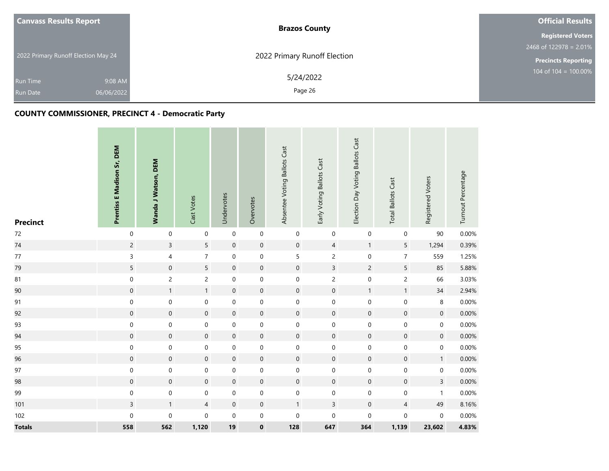| <b>Canvass Results Report</b>       |            | <b>Brazos County</b>         | <b>Official Results</b>    |
|-------------------------------------|------------|------------------------------|----------------------------|
|                                     |            |                              | <b>Registered Voters</b>   |
|                                     |            |                              | $2468$ of 122978 = 2.01%   |
| 2022 Primary Runoff Election May 24 |            | 2022 Primary Runoff Election | <b>Precincts Reporting</b> |
| <b>Run Time</b>                     | 9:08 AM    | 5/24/2022<br>Page 26         | 104 of $104 = 100.00\%$    |
| <b>Run Date</b>                     | 06/06/2022 |                              |                            |

# **COUNTY COMMISSIONER, PRECINCT 4 - Democratic Party**

| <b>Precinct</b> | Prentiss E Madison Sr, DEM | <b>Wanda J Watson, DEM</b> | Cast Votes          | Undervotes          | Overvotes           | Absentee Voting Ballots Cast | Early Voting Ballots Cast | Election Day Voting Ballots Cast | <b>Total Ballots Cast</b> | Registered Voters   | Turnout Percentage |
|-----------------|----------------------------|----------------------------|---------------------|---------------------|---------------------|------------------------------|---------------------------|----------------------------------|---------------------------|---------------------|--------------------|
| 72              | $\mathbf 0$                | $\pmb{0}$                  | $\boldsymbol{0}$    | $\pmb{0}$           | $\mathsf{O}\xspace$ | $\boldsymbol{0}$             | $\mathsf{O}\xspace$       | $\pmb{0}$                        | $\mathbf 0$               | $90\,$              | 0.00%              |
| 74              | $\overline{c}$             | $\overline{3}$             | 5                   | $\mathsf{O}\xspace$ | $\boldsymbol{0}$    | $\boldsymbol{0}$             | $\overline{4}$            | $\mathbf{1}$                     | 5                         | 1,294               | 0.39%              |
| $77\,$          | 3                          | $\overline{\mathbf{4}}$    | $\overline{7}$      | $\pmb{0}$           | $\mathbf 0$         | 5                            | $\overline{c}$            | $\mathbf 0$                      | $\overline{7}$            | 559                 | 1.25%              |
| 79              | 5                          | $\mathsf{O}\xspace$        | 5                   | $\mathbf 0$         | $\pmb{0}$           | $\mathsf{O}\xspace$          | $\overline{3}$            | $\overline{2}$                   | 5                         | 85                  | 5.88%              |
| 81              | $\boldsymbol{0}$           | $\overline{c}$             | $\overline{c}$      | $\boldsymbol{0}$    | $\boldsymbol{0}$    | $\mathbf 0$                  | $\overline{c}$            | $\mathbf 0$                      | $\overline{c}$            | 66                  | 3.03%              |
| 90              | $\boldsymbol{0}$           | $\mathbf{1}$               | $\mathbf{1}$        | $\mathbf 0$         | $\boldsymbol{0}$    | $\mathbf 0$                  | $\mathbf 0$               | $\mathbf{1}$                     | $\mathbf{1}$              | $34$                | 2.94%              |
| 91              | $\mathbf 0$                | $\boldsymbol{0}$           | $\mathsf{O}\xspace$ | $\pmb{0}$           | $\boldsymbol{0}$    | $\mathbf 0$                  | $\mathbf 0$               | $\mathbf 0$                      | $\boldsymbol{0}$          | 8                   | 0.00%              |
| 92              | $\mathsf{O}\xspace$        | $\mathsf{O}\xspace$        | $\mathbf 0$         | $\mathbf 0$         | $\mathsf{O}\xspace$ | $\mathsf{O}\xspace$          | $\pmb{0}$                 | $\mathbf 0$                      | $\mathsf{O}$              | $\mathbf 0$         | 0.00%              |
| 93              | $\mathbf 0$                | $\boldsymbol{0}$           | 0                   | $\mathbf 0$         | $\boldsymbol{0}$    | $\mathbf 0$                  | $\mathbf 0$               | $\mathbf 0$                      | $\pmb{0}$                 | 0                   | 0.00%              |
| 94              | $\mathsf{O}\xspace$        | $\mathsf{O}\xspace$        | $\mathbf 0$         | $\boldsymbol{0}$    | $\boldsymbol{0}$    | $\mathsf{O}\xspace$          | $\mathbf 0$               | $\mathsf{O}\xspace$              | $\mathbf 0$               | $\mathbf 0$         | 0.00%              |
| 95              | $\boldsymbol{0}$           | $\boldsymbol{0}$           | $\mathbf 0$         | $\pmb{0}$           | $\boldsymbol{0}$    | $\mathbf 0$                  | $\mathbf 0$               | $\pmb{0}$                        | 0                         | $\mathsf{O}\xspace$ | 0.00%              |
| 96              | $\mathsf{O}\xspace$        | $\mathsf{O}\xspace$        | $\mathbf 0$         | $\mathbf 0$         | $\pmb{0}$           | $\mathsf{O}\xspace$          | $\mathbf 0$               | $\mathsf{O}\xspace$              | $\pmb{0}$                 | $\mathbf{1}$        | 0.00%              |
| 97              | $\boldsymbol{0}$           | $\boldsymbol{0}$           | 0                   | $\mathbf 0$         | $\boldsymbol{0}$    | $\mathbf 0$                  | $\mathbf 0$               | $\pmb{0}$                        | 0                         | 0                   | 0.00%              |
| 98              | $\boldsymbol{0}$           | $\mathsf{O}\xspace$        | $\mathbf 0$         | $\mathbf 0$         | $\boldsymbol{0}$    | $\mathbf 0$                  | $\mathbf 0$               | $\mathbf 0$                      | $\mathbf 0$               | $\mathbf{3}$        | 0.00%              |
| 99              | $\mathbf 0$                | $\mathbf 0$                | $\mathbf 0$         | $\boldsymbol{0}$    | $\boldsymbol{0}$    | $\mathbf 0$                  | $\mathbf 0$               | 0                                | 0                         | $\mathbf{1}$        | 0.00%              |
| 101             | $\overline{3}$             | $\mathbf{1}$               | $\overline{4}$      | $\mathbf 0$         | $\boldsymbol{0}$    | $\mathbf{1}$                 | $\overline{3}$            | $\mathbf 0$                      | $\overline{4}$            | 49                  | 8.16%              |
| 102             | $\mathsf 0$                | $\pmb{0}$                  | 0                   | $\boldsymbol{0}$    | 0                   | $\pmb{0}$                    | $\mathbf 0$               | $\mathbf 0$                      | 0                         | $\mathbf 0$         | 0.00%              |
| <b>Totals</b>   | 558                        | 562                        | 1,120               | 19                  | $\pmb{0}$           | 128                          | 647                       | 364                              | 1,139                     | 23,602              | 4.83%              |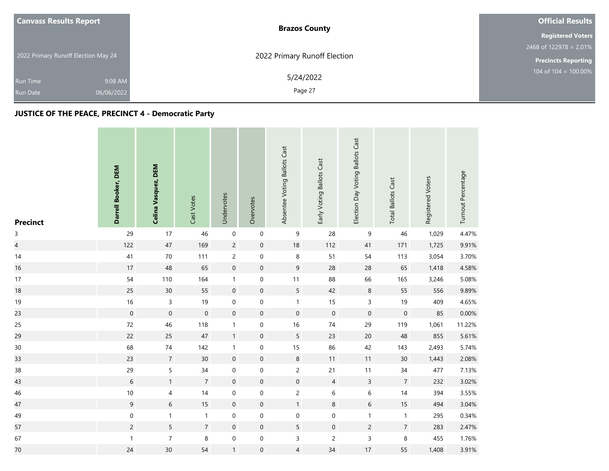| <b>Canvass Results Report</b>       |            | <b>Brazos County</b>         | <b>Official Results</b>    |
|-------------------------------------|------------|------------------------------|----------------------------|
|                                     |            |                              | <b>Registered Voters</b>   |
|                                     |            |                              | 2468 of 122978 = $2.01\%$  |
| 2022 Primary Runoff Election May 24 |            | 2022 Primary Runoff Election | <b>Precincts Reporting</b> |
| <b>Run Time</b>                     | 9:08 AM    | 5/24/2022                    | $104$ of $104 = 100.00\%$  |
| <b>Run Date</b>                     | 06/06/2022 | Page 27                      |                            |

# **JUSTICE OF THE PEACE, PRECINCT 4 - Democratic Party**

| <b>Precinct</b>          | Darrell Booker, DEM | Celina Vasquez, DEM | Cast Votes       | Undervotes          | Overvotes           | Absentee Voting Ballots Cast | Early Voting Ballots Cast | Election Day Voting Ballots Cast | <b>Total Ballots Cast</b> | Registered Voters | Turnout Percentage |
|--------------------------|---------------------|---------------------|------------------|---------------------|---------------------|------------------------------|---------------------------|----------------------------------|---------------------------|-------------------|--------------------|
| $\mathsf{3}$             | 29                  | 17                  | 46               | $\boldsymbol{0}$    | $\mathbf 0$         | $\boldsymbol{9}$             | 28                        | 9                                | 46                        | 1,029             | 4.47%              |
| $\overline{\mathcal{L}}$ | 122                 | $47\,$              | 169              | $\overline{c}$      | $\mathbf 0$         | $18\,$                       | 112                       | 41                               | 171                       | 1,725             | 9.91%              |
| 14                       | 41                  | 70                  | 111              | $\overline{c}$      | $\mathbf 0$         | $\,8\,$                      | 51                        | 54                               | 113                       | 3,054             | 3.70%              |
| 16                       | 17                  | 48                  | 65               | $\mathbf 0$         | $\mathbf 0$         | $9\,$                        | 28                        | 28                               | 65                        | 1,418             | 4.58%              |
| 17                       | 54                  | 110                 | 164              | $\mathbf{1}$        | $\mathbf 0$         | $11$                         | 88                        | 66                               | 165                       | 3,246             | 5.08%              |
| 18                       | 25                  | $30\,$              | 55               | $\mathbf 0$         | $\mathbf 0$         | $\sqrt{5}$                   | 42                        | $\,8\,$                          | 55                        | 556               | 9.89%              |
| 19                       | 16                  | $\overline{3}$      | 19               | $\mathbf 0$         | $\boldsymbol{0}$    | $\mathbf{1}$                 | 15                        | 3                                | 19                        | 409               | 4.65%              |
| 23                       | $\boldsymbol{0}$    | $\mathbf 0$         | $\boldsymbol{0}$ | $\mathbf 0$         | $\mathsf{O}\xspace$ | $\boldsymbol{0}$             | $\mathbf 0$               | $\boldsymbol{0}$                 | $\mathbf 0$               | 85                | 0.00%              |
| 25                       | 72                  | 46                  | 118              | $\mathbf{1}$        | 0                   | 16                           | $74$                      | 29                               | 119                       | 1,061             | 11.22%             |
| 29                       | 22                  | 25                  | $47\,$           | $\mathbf{1}$        | $\mathbf 0$         | $5\phantom{.0}$              | 23                        | 20                               | 48                        | 855               | 5.61%              |
| 30                       | 68                  | $74$                | 142              | $\mathbf{1}$        | $\mathbf 0$         | 15                           | 86                        | 42                               | 143                       | 2,493             | 5.74%              |
| 33                       | 23                  | $\overline{7}$      | 30               | $\mathsf{O}\xspace$ | $\mathsf{O}\xspace$ | $\bf 8$                      | $11$                      | 11                               | $30$                      | 1,443             | 2.08%              |
| 38                       | 29                  | 5                   | 34               | $\mathbf 0$         | $\mathbf 0$         | $\overline{c}$               | 21                        | 11                               | 34                        | 477               | 7.13%              |
| 43                       | $\sqrt{6}$          | $\mathbf{1}$        | $\overline{7}$   | $\mathbf 0$         | $\mathsf{O}\xspace$ | $\mathsf{O}\xspace$          | $\overline{4}$            | $\mathsf{3}$                     | $\overline{7}$            | 232               | 3.02%              |
| 46                       | $10\,$              | 4                   | 14               | $\pmb{0}$           | $\mathbf 0$         | $\overline{c}$               | 6                         | 6                                | 14                        | 394               | 3.55%              |
| 47                       | $\overline{9}$      | 6                   | 15               | $\boldsymbol{0}$    | $\mathsf{O}\xspace$ | $\mathbf{1}$                 | $\,8\,$                   | $6\,$                            | 15                        | 494               | 3.04%              |
| 49                       | $\mathbf 0$         | $\mathbf{1}$        | $\mathbf{1}$     | $\boldsymbol{0}$    | $\boldsymbol{0}$    | $\boldsymbol{0}$             | $\boldsymbol{0}$          | $\mathbf{1}$                     | $\mathbf{1}$              | 295               | 0.34%              |
| 57                       | $\overline{c}$      | $5\overline{)}$     | $\overline{7}$   | $\mathbf 0$         | $\mathsf{O}\xspace$ | $5\phantom{.0}$              | $\mathbf 0$               | $\overline{c}$                   | $\overline{7}$            | 283               | 2.47%              |
| 67                       | $\mathbf{1}$        | $\boldsymbol{7}$    | 8                | $\pmb{0}$           | $\boldsymbol{0}$    | $\mathsf{3}$                 | $\overline{c}$            | 3                                | $\,8\,$                   | 455               | 1.76%              |
| $70\,$                   | 24                  | 30 <sup>°</sup>     | 54               | $\mathbf{1}$        | $\boldsymbol{0}$    | 4                            | 34                        | 17                               | 55                        | 1,408             | 3.91%              |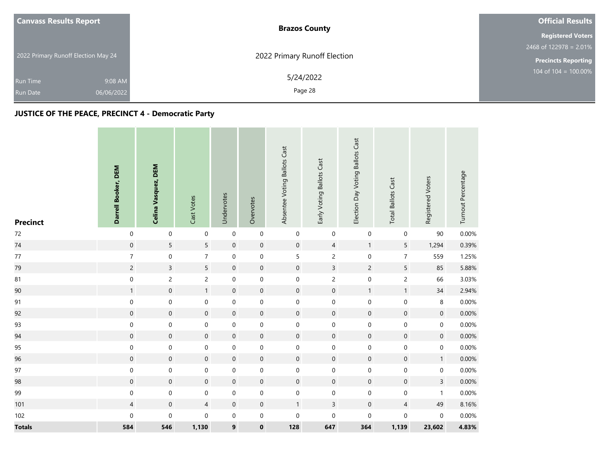| <b>Canvass Results Report</b>       |            | <b>Brazos County</b>         | <b>Official Results</b>    |
|-------------------------------------|------------|------------------------------|----------------------------|
|                                     |            |                              | <b>Registered Voters</b>   |
|                                     |            |                              | $2468$ of 122978 = 2.01%   |
| 2022 Primary Runoff Election May 24 |            | 2022 Primary Runoff Election | <b>Precincts Reporting</b> |
| <b>Run Time</b>                     | 9:08 AM    | 5/24/2022                    | 104 of $104 = 100.00\%$    |
| <b>Run Date</b>                     | 06/06/2022 | Page 28                      |                            |

# **JUSTICE OF THE PEACE, PRECINCT 4 - Democratic Party**

| <b>Precinct</b> | Darrell Booker, DEM | Celina Vasquez, DEM | Cast Votes          | Undervotes          | Overvotes           | Absentee Voting Ballots Cast | Early Voting Ballots Cast | Election Day Voting Ballots Cast | <b>Total Ballots Cast</b> | Registered Voters | Turnout Percentage |
|-----------------|---------------------|---------------------|---------------------|---------------------|---------------------|------------------------------|---------------------------|----------------------------------|---------------------------|-------------------|--------------------|
| $72\,$          | $\mathbf 0$         | $\pmb{0}$           | $\mathsf{O}\xspace$ | $\pmb{0}$           | $\mathbf 0$         | $\pmb{0}$                    | $\pmb{0}$                 | 0                                | $\pmb{0}$                 | $90\,$            | 0.00%              |
| 74              | $\mathsf{O}\xspace$ | 5                   | $5\overline{)}$     | $\mathbf 0$         | $\pmb{0}$           | $\mathbf 0$                  | $\overline{4}$            | $\mathbf{1}$                     | 5                         | 1,294             | 0.39%              |
| $77\,$          | $\overline{7}$      | $\pmb{0}$           | $\overline{7}$      | $\pmb{0}$           | $\mathsf{O}\xspace$ | $\sqrt{5}$                   | $\mathsf{2}\,$            | 0                                | $\overline{7}$            | 559               | 1.25%              |
| 79              | $\overline{c}$      | $\overline{3}$      | 5                   | $\mathbf 0$         | $\boldsymbol{0}$    | $\mathbf 0$                  | $\overline{3}$            | $\overline{c}$                   | 5                         | 85                | 5.88%              |
| 81              | $\mathbf 0$         | $\overline{c}$      | $\overline{c}$      | $\mathbf 0$         | $\mathbf 0$         | $\mathbf 0$                  | $\overline{c}$            | $\boldsymbol{0}$                 | $\overline{c}$            | 66                | 3.03%              |
| 90              | $\mathbf{1}$        | $\mathbf 0$         | 1                   | $\mathbf 0$         | $\boldsymbol{0}$    | $\mathbf 0$                  | $\mathbf 0$               | $\mathbf{1}$                     | $\mathbf{1}$              | 34                | 2.94%              |
| 91              | $\mathbf 0$         | $\mathbf 0$         | 0                   | $\mathbf 0$         | $\mathbf 0$         | $\mathbf 0$                  | $\boldsymbol{0}$          | $\mathsf{O}\xspace$              | $\mathbf 0$               | 8                 | 0.00%              |
| 92              | $\mathsf{O}\xspace$ | $\boldsymbol{0}$    | $\mathsf{O}\xspace$ | $\mathbf 0$         | $\pmb{0}$           | $\mathsf{O}\xspace$          | $\mathbf 0$               | $\mathsf{O}\xspace$              | $\mathsf{O}\xspace$       | $\pmb{0}$         | 0.00%              |
| 93              | $\boldsymbol{0}$    | $\mathsf{O}\xspace$ | 0                   | $\mathbf 0$         | $\pmb{0}$           | $\pmb{0}$                    | $\pmb{0}$                 | 0                                | 0                         | $\mathbf 0$       | 0.00%              |
| 94              | $\mathsf{O}\xspace$ | $\boldsymbol{0}$    | $\mathbf{0}$        | $\boldsymbol{0}$    | $\boldsymbol{0}$    | $\boldsymbol{0}$             | $\mathbf 0$               | $\mathbf 0$                      | $\mathsf{O}$              | $\mathbf 0$       | 0.00%              |
| 95              | $\mathbf 0$         | $\mathbf 0$         | $\mathbf 0$         | $\pmb{0}$           | $\mathbf 0$         | $\mathbf 0$                  | $\mathbf 0$               | $\mathsf{O}\xspace$              | $\mathbf 0$               | 0                 | 0.00%              |
| 96              | $\mathbf 0$         | $\mathbf 0$         | $\mathbf 0$         | $\mathbf 0$         | $\mathsf{O}\xspace$ | $\mathbf 0$                  | $\mathbf 0$               | $\mathsf{O}\xspace$              | $\mathsf{O}$              | 1                 | 0.00%              |
| 97              | $\boldsymbol{0}$    | $\mathbf 0$         | 0                   | $\pmb{0}$           | $\mathbf 0$         | $\mathbf 0$                  | $\mathbf 0$               | $\mathsf{O}\xspace$              | $\boldsymbol{0}$          | 0                 | 0.00%              |
| 98              | $\mathbf 0$         | $\mathbf 0$         | $\mathbf 0$         | $\mathbf 0$         | $\boldsymbol{0}$    | $\boldsymbol{0}$             | $\mathsf{O}\xspace$       | $\mathbf 0$                      | $\mathbf 0$               | $\mathbf{3}$      | 0.00%              |
| 99              | $\boldsymbol{0}$    | $\boldsymbol{0}$    | 0                   | $\boldsymbol{0}$    | $\mathbf 0$         | $\mathbf 0$                  | $\boldsymbol{0}$          | $\mathbf 0$                      | 0                         | $\mathbf{1}$      | 0.00%              |
| 101             | $\overline{4}$      | $\mathbf 0$         | $\overline{4}$      | $\mathsf{O}\xspace$ | $\boldsymbol{0}$    | $\mathbf{1}$                 | $\overline{3}$            | $\mathbf 0$                      | $\overline{4}$            | 49                | 8.16%              |
| 102             | $\mathbf 0$         | $\pmb{0}$           | 0                   | $\mathbf 0$         | $\pmb{0}$           | $\pmb{0}$                    | $\mathbf 0$               | $\mathbf 0$                      | 0                         | $\mathbf 0$       | 0.00%              |
| <b>Totals</b>   | 584                 | 546                 | 1,130               | $\boldsymbol{9}$    | $\pmb{0}$           | 128                          | 647                       | 364                              | 1,139                     | 23,602            | 4.83%              |